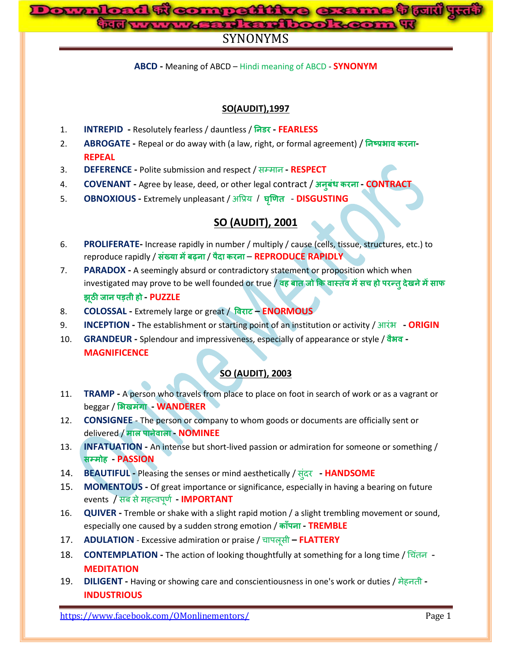# 1 **w compattive exame t (un** yui<br>www.gast.crdbook.com W

# SYNONYMS

**ABCD -** Meaning of ABCD – Hindi meaning of ABCD - **SYNONYM**

# **SO(AUDIT),1997**

- 1. **INTREPID -** Resolutely fearless / dauntless / **- FEARLESS**
- 2. **ABROGATE -** Repeal or do away with (a law, right, or formal agreement) / **- REPEAL**
- 3. **DEFERENCE -** Polite submission and respect / सम्भान **- RESPECT**
- 4. **COVENANT -** Agree by lease, deed, or other legal contract / **- CONTRACT**
- 5. **OBNOXIOUS -** Extremely unpleasant / अप्रिम / **DISGUSTING**

# **SO (AUDIT), 2001**

- 6. **PROLIFERATE-** Increase rapidly in number / multiply / cause (cells, tissue, structures, etc.) to reproduce rapidly / संख्या में बढ़ना / पैदा करना - REPRODUCE RAPIDLY
- 7. **PARADOX -** A seemingly absurd or contradictory statement or proposition which when investigated may prove to be well founded or true / **ह च ह ह - PUZZLE**
- 8. **COLOSSAL -** Extremely large or great / **– ENORMOUS**
- 9. **INCEPTION -** The establishment or starting point of an institution or activity / आयंब **- ORIGIN**
- 10. **GRANDEUR -** Splendour and impressiveness, especially of appearance or style / **- MAGNIFICENCE**

# **SO (AUDIT), 2003**

- 11. **TRAMP -** A person who travels from place to place on foot in search of work or as a vagrant or **beggar / भिखमंगा WANDERER**
- 12. **CONSIGNEE** The person or company to whom goods or documents are officially sent or delivered / माल पानेवाला - **NOMINEE**
- 13. **INFATUATION -** An intense but short-lived passion or admiration for someone or something /  **ह - PASSION**
- 14. **BEAUTIFUL -** Pleasing the senses or mind aesthetically / स ंदय **- HANDSOME**
- 15. **MOMENTOUS -** Of great importance or significance, especially in having a bearing on future events / सफ सेभहत्वऩूर्ण **- IMPORTANT**
- 16. **QUIVER -** Tremble or shake with a slight rapid motion / a slight trembling movement or sound, especially one caused by a sudden strong emotion / **- TREMBLE**
- 17. **ADULATION** Excessive admiration or praise / चाऩरूसी **– FLATTERY**
- 18. **CONTEMPLATION -** The action of looking thoughtfully at something for a long time / चचंतन **MEDITATION**
- 19. **DILIGENT -** Having or showing care and conscientiousness in one's work or duties / भेहनती **- INDUSTRIOUS**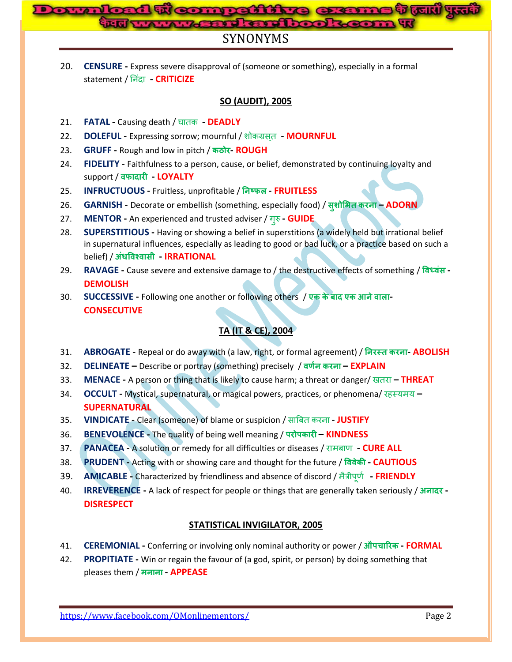# **competitive exame vou!**<br>wasadka dhookeena w

# SYNONYMS

20. **CENSURE -** Express severe disapproval of (someone or something), especially in a formal statement / नन ंदा **- CRITICIZE**

# **SO (AUDIT), 2005**

- 21. **FATAL -** Causing death / घातक **- DEADLY**
- 22. **DOLEFUL -** Expressing sorrow; mournful / शोकग्रसत **- MOURNFUL**
- 23. **GRUFF -** Rough and low in pitch / **- ROUGH**
- 24. **FIDELITY -** Faithfulness to a person, cause, or belief, demonstrated by continuing loyalty and support / **- LOYALTY**
- 25. **INFRUCTUOUS -** Fruitless, unprofitable / **- FRUITLESS**
- 26. **GARNISH -** Decorate or embellish (something, especially food) / **– ADORN**
- 27. **MENTOR** An experienced and trusted adviser / गुरु  **GUIDE**
- 28. **SUPERSTITIOUS -** Having or showing a belief in superstitions (a widely held but irrational belief in supernatural influences, especially as leading to good or bad luck, or a practice based on such a **belief) / अंधविश्वासी - IRRATIONAL**
- 29. **RAVAGE -** Cause severe and extensive damage to / the destructive effects of something / **- DEMOLISH**

30. **SUCCESSIVE -** Following one another or following others / **ए ए - CONSECUTIVE** 

# **TA (IT & CE), 2004**

- 31. **ABROGATE -** Repeal or do away with (a law, right, or formal agreement) / **- ABOLISH**
- 32. **DELINEATE –** Describe or portray (something) precisely / **– EXPLAIN**
- 33. **MENACE -** A person or thing that is likely to cause harm; a threat or danger/ खतया **– THREAT**
- 34. **OCCULT -** Mystical, supernatural, or magical powers, practices, or phenomena/ यहस्मभम **– SUPERNATURAL**
- 35. **VINDICATE -** Clear (someone) of blame or suspicion / साबफत कयना **- JUSTIFY**
- 36. **BENEVOLENCE -** The quality of being well meaning / **– KINDNESS**
- 37. **PANACEA -** A solution or remedy for all difficulties or diseases / याभफार् **- CURE ALL**
- 38. **PRUDENT -** Acting with or showing care and thought for the future / **- CAUTIOUS**
- 39. **AMICABLE -** Characterized by friendliness and absence of discord / भैत्रीऩूर्ण **- FRIENDLY**
- 40. **IRREVERENCE -** A lack of respect for people or things that are generally taken seriously / **- DISRESPECT**

# **STATISTICAL INVIGILATOR, 2005**

- 41. **CEREMONIAL -** Conferring or involving only nominal authority or power / **च - FORMAL**
- 42. **PROPITIATE -** Win or regain the favour of (a god, spirit, or person) by doing something that pleases them / मनाना **APPEASE**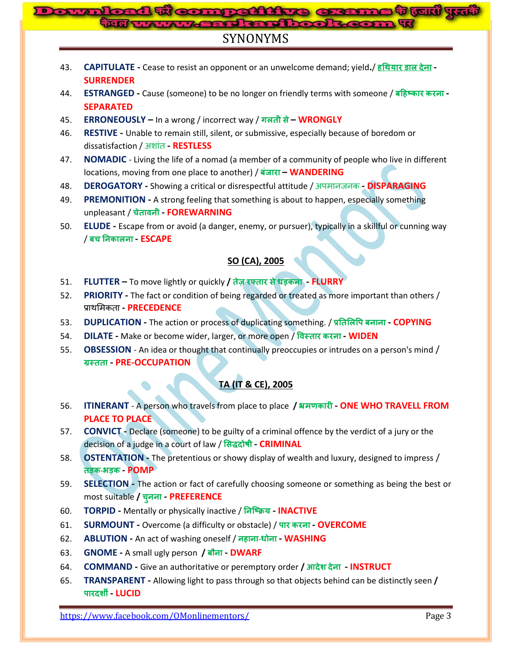# ad woompatttro erams t tul y<del>.d</del><br>I www.yastdattrook.com w

# SYNONYMS

- 43. **CAPITULATE -** Cease to resist an opponent or an unwelcome demand; yield**.**/ **ह - SURRENDER**
- 44. **ESTRANGED -** Cause (someone) to be no longer on friendly terms with someone / **ह - SEPARATED**
- 45. **ERRONEOUSLY –** In a wrong / incorrect way / **– WRONGLY**
- 46. **RESTIVE -** Unable to remain still, silent, or submissive, especially because of boredom or dissatisfaction / अशांत **- RESTLESS**
- 47. **NOMADIC**  Living the life of a nomad (a member of a community of people who live in different locations, moving from one place to another) / **– WANDERING**
- 48. **DEROGATORY -** Showing a critical or disrespectful attitude / अऩभानजनक **- DISPARAGING**
- 49. **PREMONITION -** A strong feeling that something is about to happen, especially something unpleasant / **च - FOREWARNING**
- 50. **ELUDE -** Escape from or avoid (a danger, enemy, or pursuer), typically in a skillful or cunning way / **च - ESCAPE**

# **SO (CA), 2005**

- 51. **FLUTTER –** To move lightly or quickly **/ - FLURRY**
- 52. **PRIORITY -** The fact or condition of being regarded or treated as more important than others / िाथमभकता **- PRECEDENCE**
- 53. **DUPLICATION -** The action or process of duplicating something. / **- COPYING**
- 54. **DILATE -** Make or become wider, larger, or more open / **- WIDEN**
- 55. **OBSESSION** An idea or thought that continually preoccupies or intrudes on a person's mind / **ग्रस्तता - PRE-OCCUPATION**

# **TA (IT & CE), 2005**

- 56. **ITINERANT** A person who travels from place to place **/ - ONE WHO TRAVELL FROM PLACE TO PLACE**
- 57. **CONVICT -** Declare (someone) to be guilty of a criminal offence by the verdict of a jury or the decision of a judge in a court of law / सिद्धदोषी - CRIMINAL
- 58. **OSTENTATION -** The pretentious or showy display of wealth and luxury, designed to impress /  **- - POMP**
- 59. **SELECTION -** The action or fact of carefully choosing someone or something as being the best or most suitable **/ च - PREFERENCE**
- 60. **TORPID -** Mentally or physically inactive / **- INACTIVE**
- 61. **SURMOUNT -** Overcome (a difficulty or obstacle) / **- OVERCOME**
- 62. **ABLUTION -** An act of washing oneself / **ह - - WASHING**
- 63. **GNOME -** A small ugly person **/ - DWARF**
- 64. **COMMAND -** Give an authoritative or peremptory order **/ - INSTRUCT**
- 65. **TRANSPARENT -** Allowing light to pass through so that objects behind can be distinctly seen **/ - LUCID**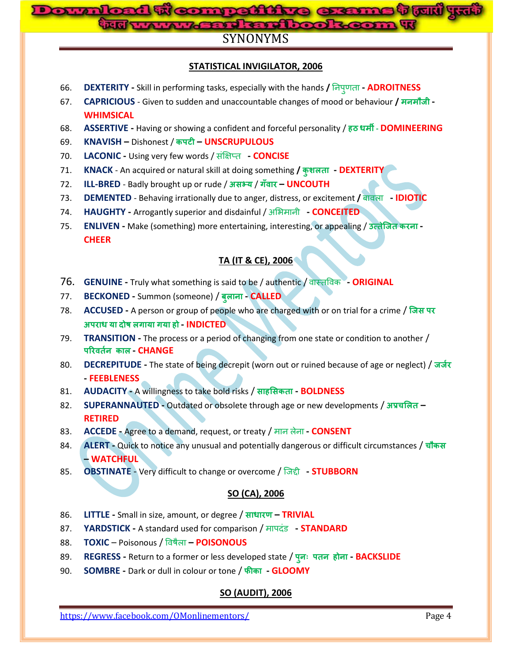

# SYNONYMS

# **STATISTICAL INVIGILATOR, 2006**

- 66. **DEXTERITY -** Skill in performing tasks, especially with the hands **/** ननऩ र्ता **- ADROITNESS**
- 67. **CAPRICIOUS** Given to sudden and unaccountable changes of mood or behaviour **/ - WHIMSICAL**
- 68. **ASSERTIVE -** Having or showing a confident and forceful personality / **ह - DOMINEERING**
- 69. **KNAVISH –** Dishonest / **– UNSCRUPULOUS**
- 70. **LACONIC -** Using very few words / संक्षऺप्त **- CONCISE**
- 71. **KNACK** An acquired or natural skill at doing something **/ - DEXTERITY**
- 72. **ILL-BRED** Badly brought up or rude / असभ्य / गँवार UNCOUTH
- 73. **DEMENTED**  Behaving irrationally due to anger, distress, or excitement **/** फावरा **- IDIOTIC**
- 74. **HAUGHTY -** Arrogantly superior and disdainful / अमबभानी **- CONCEITED**
- 75. **ENLIVEN** Make (something) more entertaining, interesting, or appealing / उत्तेजित करना -**CHEER**

#### **TA (IT & CE), 2006**

- 76. **GENUINE -** Truly what something is said to be / authentic / वास्तप्रवक **- ORIGINAL**
- 77. **BECKONED -** Summon (someone) / **- CALLED**
- 78. **ACCUSED -** A person or group of people who are charged with or on trial for a crime /  **ह - INDICTED**
- 79. **TRANSITION -** The process or a period of changing from one state or condition to another /  **- CHANGE**
- 80. **DECREPITUDE -** The state of being decrepit (worn out or ruined because of age or neglect) / **- FEEBLENESS**
- 81. **AUDACITY -** A willingness to take bold risks / **ह - BOLDNESS**
- 82. **SUPERANNAUTED** Outdated or obsolete through age or new developments / अप्रचलित **RETIRED**
- 83. **ACCEDE -** Agree to a demand, request, or treaty / भान रेना **- CONSENT**
- 84. **ALERT -** Quick to notice any unusual and potentially dangerous or difficult circumstances / चौकस **– WATCHFUL**
- 85. **OBSTINATE** Very difficult to change or overcome / जजद्दी **- STUBBORN**

#### **SO (CA), 2006**

- 86. **LITTLE -** Small in size, amount, or degree / **– TRIVIAL**
- 87. **YARDSTICK -** A standard used for comparison / भाऩदंड **- STANDARD**
- 88. **TOXIC** Poisonous / प्रवषैरा **– POISONOUS**
- 89. **REGRESS -** Return to a former or less developed state / **ह - BACKSLIDE**
- 90. **SOMBRE -** Dark or dull in colour or tone / **- GLOOMY**

# **SO (AUDIT), 2006**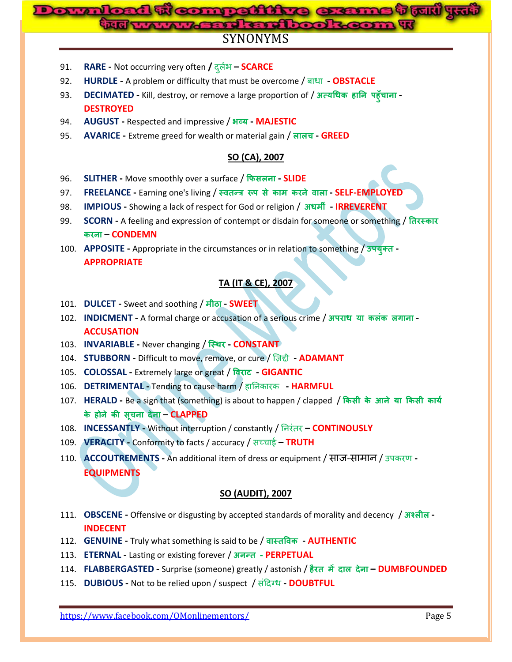# **me t tud** ya **Domna From: Worker Mand and book**

# SYNONYMS

- 91. **RARE -** Not occurring very often **/** दर बण **– SCARCE**
- 92. **HURDLE -** A problem or difficulty that must be overcome / फाधा **- OBSTACLE**
- 93. **DECIMATED -** Kill, destroy, or remove a large proportion of / **ह ह च - DESTROYED**
- 94. **AUGUST -** Respected and impressive / **- MAJESTIC**
- 95. **AVARICE -** Extreme greed for wealth or material gain / **च - GREED**

# **SO (CA), 2007**

- 96. **SLITHER -** Move smoothly over a surface / **- SLIDE**
- 97. **FREELANCE -** Earning one's living / **- SELF-EMPLOYED**
- 98. **IMPIOUS -** Showing a lack of respect for God or religion / **- IRREVERENT**
- 99. **SCORN -** A feeling and expression of contempt or disdain for someone or something /  **– CONDEMN**
- 100. **APPOSITE -** Appropriate in the circumstances or in relation to something / **- APPROPRIATE**

# **TA (IT & CE), 2007**

- 101. **DULCET -** Sweet and soothing / **- SWEET**
- 102. **INDICMENT** A formal charge or accusation of a serious crime / अपराध या कलंक लगाना -**ACCUSATION**
- 103. **INVARIABLE -** Never changing / **- CONSTANT**
- 104. **STUBBORN -** Difficult to move, remove, or cure / ज़िद्दी **- ADAMANT**
- 105. **COLOSSAL** Extremely large or great / विराट GIGANTIC
- 106. **DETRIMENTAL -** Tending to cause harm / हाननकायक **- HARMFUL**
- 107. **HERALD** Be a sign that (something) is about to happen / clapped / किसी के आने या किसी कार्य  **ह च – CLAPPED**
- 108. **INCESSANTLY -** Without interruption / constantly / ननयंतय **– CONTINOUSLY**
- 109. **VERACITY -** Conformity to facts / accuracy / सच्चाई **– TRUTH**
- 110. **ACCOUTREMENTS** An additional item of dress or equipment / साज-सामान / उपकरण -**EQUIPMENTS**

# **SO (AUDIT), 2007**

- 111. **OBSCENE** Offensive or disgusting by accepted standards of morality and decency / अश्लील -**INDECENT**
- 112. **GENUINE** Truly what something is said to be / वास्तविक **AUTHENTIC**
- 113. **ETERNAL -** Lasting or existing forever / **- PERPETUAL**
- 114. **FLABBERGASTED -** Surprise (someone) greatly / astonish / **ह – DUMBFOUNDED**
- 115. **DUBIOUS -** Not to be relied upon / suspect / संददग्ध **- DOUBTFUL**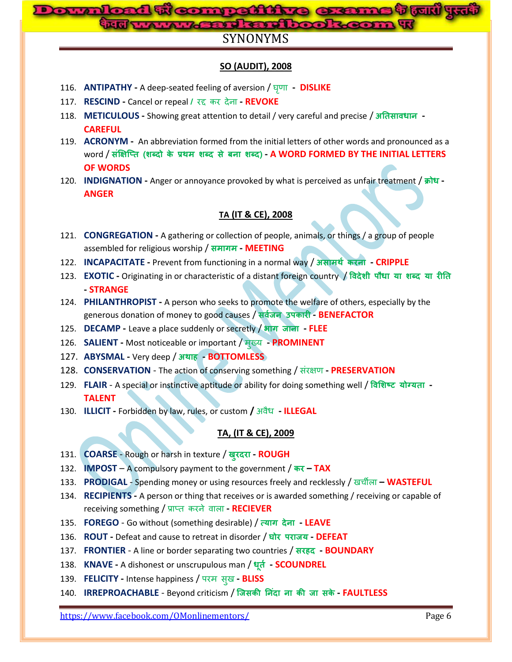# d ti competitive exame <sup>t</sup> fall yu **Bard and book**

# SYNONYMS

# **SO (AUDIT), 2008**

- 116. **ANTIPATHY -** A deep-seated feeling of aversion / घर्ृ ा  **DISLIKE**
- 117. **RESCIND -** Cancel or repeal **/** यद्द कय देना **- REVOKE**
- 118. **METICULOUS -** Showing great attention to detail / very careful and precise / **- CAREFUL**
- 119. **ACRONYM -** An abbreviation formed from the initial letters of other words and pronounced as a word / **( ) - A WORD FORMED BY THE INITIAL LETTERS OF WORDS**
- 120. **INDIGNATION** Anger or annoyance provoked by what is perceived as unfair treatment / क्रोध -**ANGER**

#### **TA (IT & CE), 2008**

- 121. **CONGREGATION -** A gathering or collection of people, animals, or things / a group of people assembled for religious worship / समागम - MEETING
- 122. **INCAPACITATE** Prevent from functioning in a normal way / असोमर्थ करना CRIPPLE
- 123. **EXOTIC -** Originating in or characteristic of a distant foreign country / **- STRANGE**
- 124. **PHILANTHROPIST -** A person who seeks to promote the welfare of others, especially by the generous donation of money to good causes / **- BENEFACTOR**
- 125. **DECAMP -** Leave a place suddenly or secretly / **- FLEE**
- 126. **SALIENT -** Most noticeable or important / भ ख्म **- PROMINENT**
- 127. **ABYSMAL -** Very deep / **ह - BOTTOMLESS**
- 128. **CONSERVATION** The action of conserving something / संयऺर् **- PRESERVATION**
- 129. **FLAIR** A special or instinctive aptitude or ability for doing something well / विशिष्ट योग्यता -**TALENT**
- 130. **ILLICIT -** Forbidden by law, rules, or custom **/** अवैध **- ILLEGAL**

#### **TA, (IT & CE), 2009**

- 131. **COARSE** Rough or harsh in texture / खुरदरा ROUGH
- 132. **IMPOST** A compulsory payment to the government / **– TAX**
- 133. **PRODIGAL** Spending money or using resources freely and recklessly / खचीरा **– WASTEFUL**
- 134. **RECIPIENTS -** A person or thing that receives or is awarded something / receiving or capable of receiving something / िाप्त कयने वारा **- RECIEVER**
- 135. **FOREGO** Go without (something desirable) / **- LEAVE**
- 136. **ROUT** Defeat and cause to retreat in disorder / घोर पराजय DEFEAT
- 137. **FRONTIER** A line or border separating two countries / **ह - BOUNDARY**
- 138. **KNAVE** A dishonest or unscrupulous man / धूर्त  **SCOUNDREL**
- 139. **FELICITY -** Intense happiness / ऩयभ स ख **- BLISS**
- 140. **IRREPROACHABLE**  Beyond criticism / **- FAULTLESS**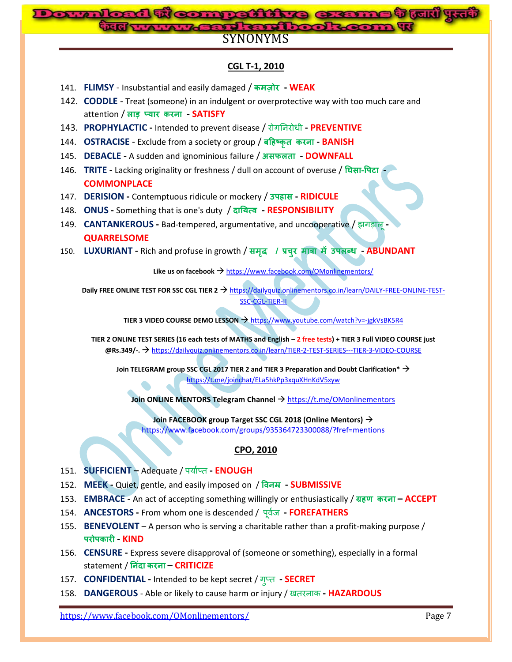# **Download ti competitive exerne t tul yti** and englis SYNONYMS

### **CGL T-1, 2010**

- 141. **FLIMSY** Insubstantial and easily damaged / कमज़ोर WEAK
- 142. **CODDLE**  Treat (someone) in an indulgent or overprotective way with too much care and attention / **- SATISFY**
- 143. **PROPHYLACTIC -** Intended to prevent disease / योगननयोधी **- PREVENTIVE**
- 144. **OSTRACISE** Exclude from a society or group / **ह - BANISH**
- 145. **DEBACLE** A sudden and ignominious failure / असफलता DOWNFALL
- 146. **TRITE -** Lacking originality or freshness / dull on account of overuse / **- - COMMONPLACE**
- 147. **DERISION -** Contemptuous ridicule or mockery / **ह - RIDICULE**
- 148. **ONUS -** Something that is one's duty / **- RESPONSIBILITY**
- 149. **CANTANKEROUS -** Bad-tempered, argumentative, and uncooperative / झगडारू**- QUARRELSOME**
- 150. **LUXURIANT -** Rich and profuse in growth / **/ च - ABUNDANT**

Like us on facebook  $\rightarrow$  <https://www.facebook.com/OMonlinementors/>

**Daily FREE ONLINE TEST FOR SSC CGL TIER 2 → [https://dailyquiz.onlinementors.co.in/learn/DAILY-FREE-ONLINE-TEST-](https://dailyquiz.onlinementors.co.in/learn/DAILY-FREE-ONLINE-TEST-SSC-CGL-TIER-II)**[SSC-CGL-TIER-II](https://dailyquiz.onlinementors.co.in/learn/DAILY-FREE-ONLINE-TEST-SSC-CGL-TIER-II)

**TIER 3 VIDEO COURSE DEMO LESSON → <https://www.youtube.com/watch?v=-jgkVsBK5R4>** 

**TIER 2 ONLINE TEST SERIES (16 each tests of MATHS and English – 2 free tests) + TIER 3 Full VIDEO COURSE just @Rs.349/-.** <https://dailyquiz.onlinementors.co.in/learn/TIER-2-TEST-SERIES---TIER-3-VIDEO-COURSE>

**Join TELEGRAM group SSC CGL 2017 TIER 2 and TIER 3 Preparation and Doubt Clarification\*** <https://t.me/joinchat/ELa5hkPp3xquXHnKdV5xyw>

**Join ONLINE MENTORS Telegram Channel**  $\rightarrow$  <https://t.me/OMonlinementors>

**Join FACEBOOK group Target SSC CGL 2018 (Online Mentors)** <https://www.facebook.com/groups/935364723300088/?fref=mentions>

#### **CPO, 2010**

- 151. **SUFFICIENT –** Adequate / ऩमाणप्त **- ENOUGH**
- 152. MEEK Quiet, gentle, and easily imposed on / विनम **SUBMISSIVE**
- 153. **EMBRACE -** An act of accepting something willingly or enthusiastically / **ह – ACCEPT**
- 154. **ANCESTORS -** From whom one is descended / ऩूवजण **- FOREFATHERS**
- 155. **BENEVOLENT** A person who is serving a charitable rather than a profit-making purpose / **4 12 KIND**
- 156. **CENSURE -** Express severe disapproval of (someone or something), especially in a formal statement / **– CRITICIZE**
- 157. **CONFIDENTIAL -** Intended to be kept secret / ग प्त **- SECRET**
- 158. **DANGEROUS** Able or likely to cause harm or injury / खतयनाक **- HAZARDOUS**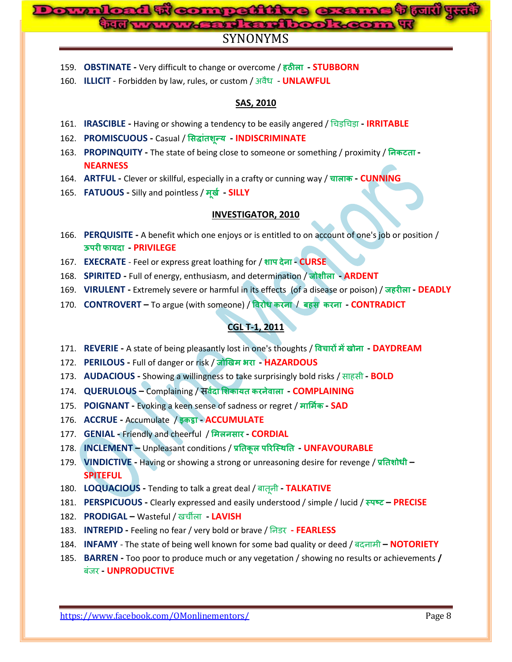# d <del>u competitive exame t un yu</del><br>www.gost.crdbook.com w

# SYNONYMS

- 159. **OBSTINATE -** Very difficult to change or overcome / **ह - STUBBORN**
- 160. **ILLICIT** Forbidden by law, rules, or custom / अवैध **UNLAWFUL**

## **SAS, 2010**

- 161. **IRASCIBLE -** Having or showing a tendency to be easily angered / चचडचचडा **- IRRITABLE**
- 162. **PROMISCUOUS -** Casual / **- INDISCRIMINATE**
- 163. **PROPINQUITY** The state of being close to someone or something / proximity / निकटता -**NEARNESS**
- 164. **ARTFUL** Clever or skillful, especially in a crafty or cunning way / चालाक CUNNING
- 165. **FATUOUS -** Silly and pointless / **- SILLY**

#### **INVESTIGATOR, 2010**

- 166. **PERQUISITE -** A benefit which one enjoys or is entitled to on account of one's job or position /  **- PRIVILEGE**
- 167. **EXECRATE** Feel or express great loathing for / शाप देना **CURSE**
- 168. **SPIRITED -** Full of energy, enthusiasm, and determination / **- ARDENT**
- 169. **VIRULENT -** Extremely severe or harmful in its effects (of a disease or poison) / **ह - DEADLY**
- 170. **CONTROVERT –** To argue (with someone) / / **ह - CONTRADICT**

# **CGL T-1, 2011**

- 171. **REVERIE -** A state of being pleasantly lost in one's thoughts / **च - DAYDREAM**
- 172. **PERILOUS -** Full of danger or risk / **- HAZARDOUS**
- 173. **AUDACIOUS -** Showing a willingness to take surprisingly bold risks / साहसी **- BOLD**
- 174. **QUERULOUS –** Complaining / **- COMPLAINING**
- 175. **POIGNANT -** Evoking a keen sense of sadness or regret / **- SAD**
- 176. **ACCRUE -** Accumulate / **- ACCUMULATE**
- 177. **GENIAL** Friendly and cheerful / मिलनसार **CORDIAL**
- 178. **INCLEMENT –** Unpleasant conditions / **- UNFAVOURABLE**
- 179. **VINDICTIVE -** Having or showing a strong or unreasoning desire for revenge / **– SPITEFUL**
- 180. **LOQUACIOUS -** Tending to talk a great deal / फातूनी **- TALKATIVE**
- 181. **PERSPICUOUS -** Clearly expressed and easily understood / simple / lucid / **– PRECISE**
- 182. **PRODIGAL –** Wasteful / खचीरा **- LAVISH**
- 183. **INTREPID -** Feeling no fear / very bold or brave / ननडय **- FEARLESS**
- 184. **INFAMY** The state of being well known for some bad quality or deed / फदनाभी **– NOTORIETY**
- 185. **BARREN -** Too poor to produce much or any vegetation / showing no results or achievements **/**  फंजय **- UNPRODUCTIVE**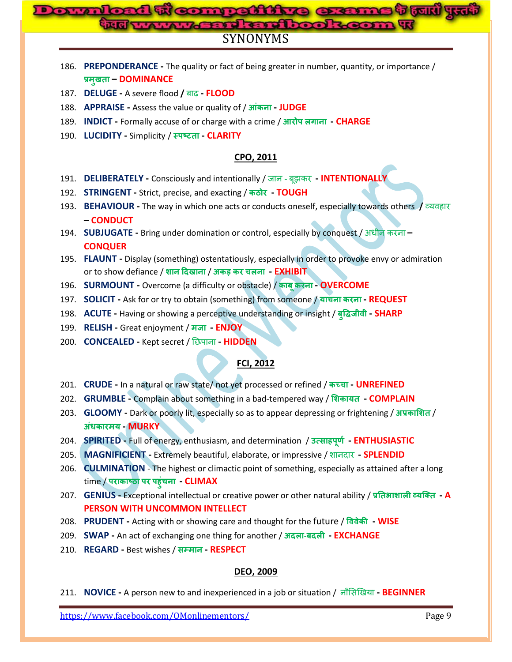# **Downloaded From: www.gossc.inBard engineer** SYNONYMS

| 186. PREPONDERANCE - The quality or fact of being greater in number, quantity, or importance / |  |
|------------------------------------------------------------------------------------------------|--|
| प्रमखता – DOMINANCE                                                                            |  |

- 187. **DELUGE -** A severe flood **/** फाढ़ **- FLOOD**
- 188. **APPRAISE -** Assess the value or quality of / **- JUDGE**
- 189. **INDICT** Formally accuse of or charge with a crime / आरोप लगाना **CHARGE**
- 190. **LUCIDITY -** Simplicity / **- CLARITY**

### **CPO, 2011**

- 191. **DELIBERATELY -** Consciously and intentionally / जान फूझकय **- INTENTIONALLY**
- 192. **STRINGENT -** Strict, precise, and exacting / **- TOUGH**
- 193. **BEHAVIOUR -** The way in which one acts or conducts oneself, especially towards others **/** व्मवहाय **– CONDUCT**
- 194. **SUBJUGATE -** Bring under domination or control, especially by conquest / अधीन कयना **– CONQUER**
- 195. **FLAUNT -** Display (something) ostentatiously, especially in order to provoke envy or admiration or to show defiance / / **च - EXHIBIT**
- 196. **SURMOUNT -** Overcome (a difficulty or obstacle) / **- OVERCOME**
- 197. **SOLICIT -** Ask for or try to obtain (something) from someone / **च - REQUEST**
- 198. ACUTE Having or showing a perceptive understanding or insight / बुद्धिजीवी SHARP
- 199. RELISH Great enjoyment / मजा ENJOY
- 200. **CONCEALED -** Kept secret / निऩाना **- HIDDEN**

# **FCI, 2012**

- 201. **CRUDE -** In a natural or raw state/ not yet processed or refined / **च - UNREFINED**
- 202. **GRUMBLE -** Complain about something in a bad-tempered way / **- COMPLAIN**
- 203. **GLOOMY** Dark or poorly lit, especially so as to appear depressing or frightening / अप्रकाशित /  $\frac{1}{2}$  **MURKY**
- 204. **SPIRITED -** Full of energy, enthusiasm, and determination / **ह - ENTHUSIASTIC**
- 205. **MAGNIFICIENT -** Extremely beautiful, elaborate, or impressive / शानदाय **- SPLENDID**
- 206. **CULMINATION** The highest or climactic point of something, especially as attained after a long time / **ह च - CLIMAX**
- 207. **GENIUS -** Exceptional intellectual or creative power or other natural ability / **- A PERSON WITH UNCOMMON INTELLECT**
- 208. **PRUDENT -** Acting with or showing care and thought for the future / **- WISE**
- 209. **SWAP -** An act of exchanging one thing for another / **- - EXCHANGE**
- 210. **REGARD -** Best wishes / **- RESPECT**

### **DEO, 2009**

211. **NOVICE -** A person new to and inexperienced in a job or situation / नौमसखखमा **- BEGINNER**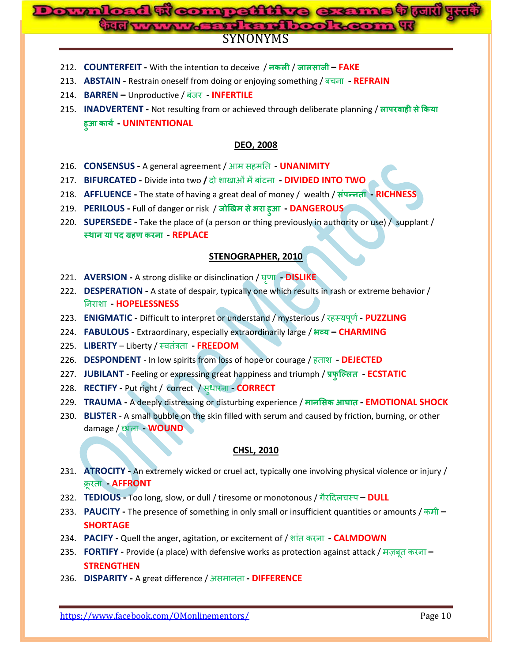# <mark>जे क्यारों पुरन्त</mark> **Downloaded From: www.gossc.in**SYNONYMS

- 212. **COUNTERFEIT -** With the intention to deceive / / **– FAKE**
- 213. **ABSTAIN -** Restrain oneself from doing or enjoying something / फचना **- REFRAIN**
- 214. **BARREN –** Unproductive / फंजय **- INFERTILE**
- 215. **INADVERTENT -** Not resulting from or achieved through deliberate planning / **ह ह - UNINTENTIONAL**

#### **DEO, 2008**

- 216. **CONSENSUS -** A general agreement / आभ सहभनत **- UNANIMITY**
- 217. **BIFURCATED -** Divide into two **/** दो शाखाओंभेंफांटना **- DIVIDED INTO TWO**
- 218. **AFFLUENCE -** The state of having a great deal of money / wealth / **- RICHNESS**
- 219. **PERILOUS -** Full of danger or risk / **ह - DANGEROUS**
- 220. **SUPERSEDE -** Take the place of (a person or thing previously in authority or use) / supplant /  **ह - REPLACE**

#### **STENOGRAPHER, 2010**

- 221. **AVERSION -** A strong dislike or disinclination / घर्ृ ा **- DISLIKE**
- 222. **DESPERATION -** A state of despair, typically one which results in rash or extreme behavior / ननयाशा **- HOPELESSNESS**
- 223. **ENIGMATIC -** Difficult to interpret or understand / mysterious / यहस्मऩूर्ण**- PUZZLING**
- 224. **FABULOUS -** Extraordinary, especially extraordinarily large / **– CHARMING**
- 225. **LIBERTY** Liberty / स्वतंत्रता **- FREEDOM**
- 226. **DESPONDENT** In low spirits from loss of hope or courage / हताश **- DEJECTED**
- 227. **JUBILANT** Feeling or expressing great happiness and triumph / प्रफुल्लित **ECSTATIC**
- 228. **RECTIFY -** Put right / correct / स धायना **- CORRECT**
- 229. **TRAUMA -** A deeply distressing or disturbing experience / **- EMOTIONAL SHOCK**
- 230. **BLISTER** A small bubble on the skin filled with serum and caused by friction, burning, or other damage / िारा **- WOUND**

#### **CHSL, 2010**

- 231. **ATROCITY -** An extremely wicked or cruel act, typically one involving physical violence or injury / क्रूयता **- AFFRONT**
- 232. **TEDIOUS** Too long, slow, or dull / tiresome or monotonous / गैरदिलचस्प DULL
- 233. **PAUCITY -** The presence of something in only small or insufficient quantities or amounts / कभी **– SHORTAGE**
- 234. **PACIFY -** Quell the anger, agitation, or excitement of / शांत कयना **- CALMDOWN**
- 235. **FORTIFY -** Provide (a place) with defensive works as protection against attack / भ़िफूत कयना **– STRENGTHEN**
- 236. **DISPARITY -** A great difference / असभानता **- DIFFERENCE**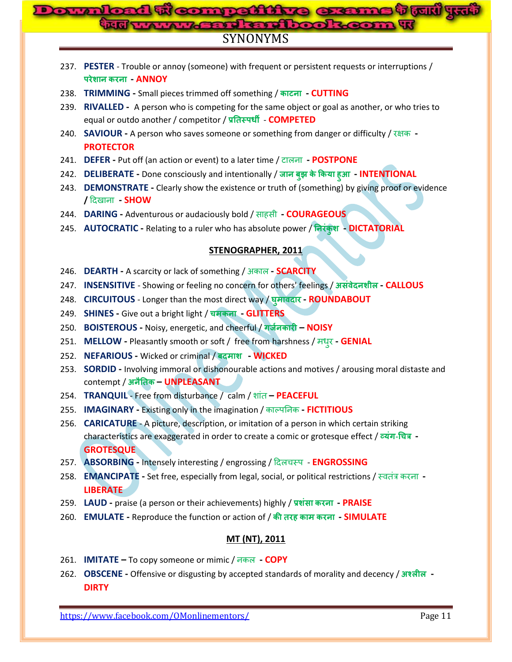# **Bompattive exame tout yv Marie and book** SYNONYMS

- 237. **PESTER** Trouble or annoy (someone) with frequent or persistent requests or interruptions /  **- ANNOY**
- 238. **TRIMMING -** Small pieces trimmed off something / **- CUTTING**
- 239. **RIVALLED -** A person who is competing for the same object or goal as another, or who tries to equal or outdo another / competitor / प्रतिस्पर्धी - **COMPETED**
- 240. **SAVIOUR -** A person who saves someone or something from danger or difficulty / यऺक **- PROTECTOR**
- 241. **DEFER -** Put off (an action or event) to a later time / टारना **- POSTPONE**
- 242. **DELIBERATE -** Done consciously and intentionally / **ह - INTENTIONAL**
- 243. **DEMONSTRATE -** Clearly show the existence or truth of (something) by giving proof or evidence **/** ददखाना **- SHOW**
- 244. **DARING -** Adventurous or audaciously bold / साहसी **- COURAGEOUS**
- 245. AUTOCRATIC Relating to a ruler who has absolute power / निरंकुश DICTATORIAL

## **STENOGRAPHER, 2011**

- 246. **DEARTH -** A scarcity or lack of something / अकार **- SCARCITY**
- 247. **INSENSITIVE** Showing or feeling no concern for others' feelings / **- CALLOUS**
- 248. CIRCUITOUS Longer than the most direct way / घुमावदार ROUNDABOUT
- 249. **SHINES -** Give out a bright light / **च - GLITTERS**
- 250. **BOISTEROUS -** Noisy, energetic, and cheerful / **– NOISY**
- 251. **MELLOW -** Pleasantly smooth or soft / free from harshness / भध य **- GENIAL**
- 252. **NEFARIOUS -** Wicked or criminal / **- WICKED**
- 253. **SORDID -** Involving immoral or dishonourable actions and motives / arousing moral distaste and contempt / **– UNPLEASANT**
- 254. **TRANQUIL** Free from disturbance / calm / शांत **– PEACEFUL**
- 255. **IMAGINARY -** Existing only in the imagination / काल्ऩननक **- FICTITIOUS**
- 256. **CARICATURE** A picture, description, or imitation of a person in which certain striking characteristics are exaggerated in order to create a comic or grotesque effect / व्यंग-चित्र -**GROTESQUE**
- 257. **ABSORBING -** Intensely interesting / engrossing / ददरचस्ऩ **ENGROSSING**
- 258. **EMANCIPATE -** Set free, especially from legal, social, or political restrictions / स्वतंत्र कयना **- LIBERATE**
- 259. LAUD praise (a person or their achievements) highly / प्रशंसा करना PRAISE
- 260. **EMULATE -** Reproduce the function or action of / **ह - SIMULATE**

#### **MT (NT), 2011**

- 261. **IMITATE –** To copy someone or mimic / नकर **- COPY**
- 262. **OBSCENE -** Offensive or disgusting by accepted standards of morality and decency / **- DIRTY**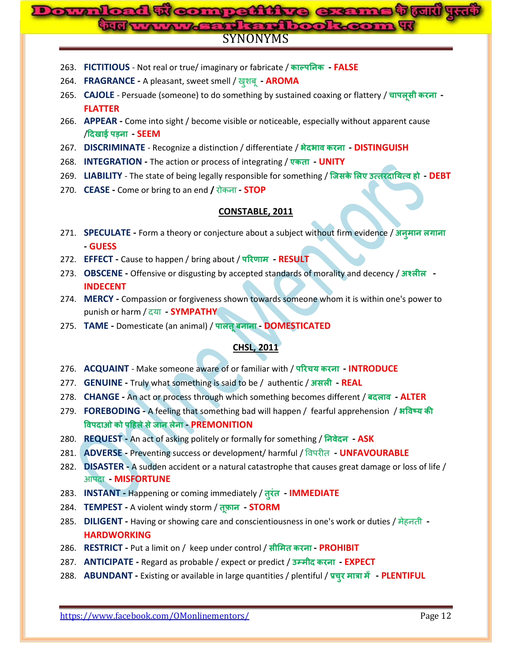#### **1 Weomraitive exams tow y.u**  $\mathbf{D}$ **Bord and l** SYNONYMS

- 263. **FICTITIOUS** Not real or true/ imaginary or fabricate / **- FALSE**
- 264. **FRAGRANCE -** A pleasant, sweet smell / ख शफू**- AROMA**
- 265. **CAJOLE** Persuade (someone) to do something by sustained coaxing or flattery / चापलूसी करना -**FLATTER**
- 266. **APPEAR -** Come into sight / become visible or noticeable, especially without apparent cause / **- SEEM**
- 267. **DISCRIMINATE** Recognize a distinction / differentiate / **- DISTINGUISH**
- 268. **INTEGRATION -** The action or process of integrating / **ए - UNITY**
- 269. **LIABILITY** The state of being legally responsible for something / **ए ह - DEBT**
- 270. **CEASE -** Come or bring to an end **/** योकना **- STOP**

#### **CONSTABLE, 2011**

- 271. **SPECULATE -** Form a theory or conjecture about a subject without firm evidence / **- GUESS**
- 272. **EFFECT -** Cause to happen / bring about / **- RESULT**
- 273. **OBSCENE** Offensive or disgusting by accepted standards of morality and decency / <del>अश्लोल</del> **INDECENT**
- 274. **MERCY -** Compassion or forgiveness shown towards someone whom it is within one's power to punish or harm / दमा **- SYMPATHY**
- 275. **TAME -** Domesticate (an animal) / **- DOMESTICATED**

#### **CHSL, 2011**

- 276. **ACQUAINT** Make someone aware of or familiar with / **च - INTRODUCE**
- 277. **GENUINE -** Truly what something is said to be / authentic / **- REAL**
- 278. **CHANGE -** An act or process through which something becomes different / **- ALTER**
- 279. **FOREBODING -** A feeling that something bad will happen / fearful apprehension /  **ह - PREMONITION**
- 280. **REQUEST -** An act of asking politely or formally for something / **- ASK**
- 281. **ADVERSE** Preventing success or development/ harmful / विपरीत UNFAVOURABLE
- 282. **DISASTER -** A sudden accident or a natural catastrophe that causes great damage or loss of life / आऩदा **- MISFORTUNE**
- 283. **INSTANT -** Happening or coming immediately / **- IMMEDIATE**
- 284. **TEMPEST -** A violent windy storm / **- STORM**
- 285. **DILIGENT -** Having or showing care and conscientiousness in one's work or duties / भेहनती **- HARDWORKING**
- 286. **RESTRICT -** Put a limit on / keep under control / **- PROHIBIT**
- 287. **ANTICIPATE -** Regard as probable / expect or predict / **- EXPECT**
- 288. **ABUNDANT -** Existing or available in large quantities / plentiful / **च - PLENTIFUL**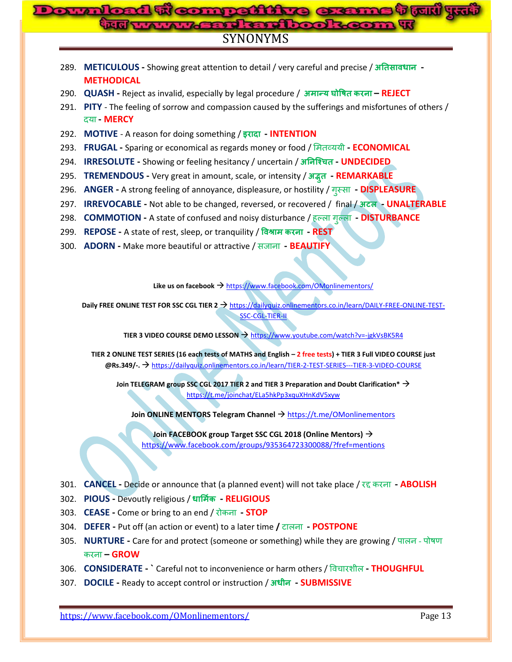# SYNONYMS **Compattitue G:**

- 289. **METICULOUS -** Showing great attention to detail / very careful and precise / **- METHODICAL**
- 290. **QUASH -** Reject as invalid, especially by legal procedure / **– REJECT**
- 291. **PITY**  The feeling of sorrow and compassion caused by the sufferings and misfortunes of others / दमा **- MERCY**
- 292. **MOTIVE** A reason for doing something / **- INTENTION**
- 293. **FRUGAL -** Sparing or economical as regards money or food / मभतव्ममी **- ECONOMICAL**
- 294. **IRRESOLUTE -** Showing or feeling hesitancy / uncertain / **च - UNDECIDED**
- 295. **TREMENDOUS -** Very great in amount, scale, or intensity / **- REMARKABLE**
- 296. **ANGER -** A strong feeling of annoyance, displeasure, or hostility / ग स्सा **- DISPLEASURE**
- 297. **IRREVOCABLE -** Not able to be changed, reversed, or recovered / final / **- UNALTERABLE**
- 298. **COMMOTION -** A state of confused and noisy disturbance / हल्रा ग ल्रा **- DISTURBANCE**
- 299. **REPOSE** A state of rest, sleep, or tranquility / विश्राम करना **REST**
- 300. **ADORN -** Make more beautiful or attractive / सजाना **- BEAUTIFY**

Like us on facebook  $\rightarrow$  <https://www.facebook.com/OMonlinementors/>

**Daily FREE ONLINE TEST FOR SSC CGL TIER 2 → [https://dailyquiz.onlinementors.co.in/learn/DAILY-FREE-ONLINE-TEST-](https://dailyquiz.onlinementors.co.in/learn/DAILY-FREE-ONLINE-TEST-SSC-CGL-TIER-II)**[SSC-CGL-TIER-II](https://dailyquiz.onlinementors.co.in/learn/DAILY-FREE-ONLINE-TEST-SSC-CGL-TIER-II)

**TIER 3 VIDEO COURSE DEMO LESSON → <https://www.youtube.com/watch?v=-jgkVsBK5R4>** 

**TIER 2 ONLINE TEST SERIES (16 each tests of MATHS and English – 2 free tests) + TIER 3 Full VIDEO COURSE just @Rs.349/-.** <https://dailyquiz.onlinementors.co.in/learn/TIER-2-TEST-SERIES---TIER-3-VIDEO-COURSE>

**Join TELEGRAM group SSC CGL 2017 TIER 2 and TIER 3 Preparation and Doubt Clarification\*** <https://t.me/joinchat/ELa5hkPp3xquXHnKdV5xyw>

**Join ONLINE MENTORS Telegram Channel → <https://t.me/OMonlinementors>** 

**Join FACEBOOK group Target SSC CGL 2018 (Online Mentors)** <https://www.facebook.com/groups/935364723300088/?fref=mentions>

- 301. **CANCEL -** Decide or announce that (a planned event) will not take place / यद्द कयना **- ABOLISH**
- 302. **PIOUS -** Devoutly religious / **- RELIGIOUS**
- 303. **CEASE -** Come or bring to an end / योकना **- STOP**
- 304. **DEFER -** Put off (an action or event) to a later time **/** टारना **- POSTPONE**
- 305. **NURTURE -** Care for and protect (someone or something) while they are growing / ऩारन ऩोषर् कयना **– GROW**
- 306. **CONSIDERATE - `** Careful not to inconvenience or harm others / प्रवचायशीर **- THOUGHFUL**
- 307. **DOCILE -** Ready to accept control or instruction / **- SUBMISSIVE**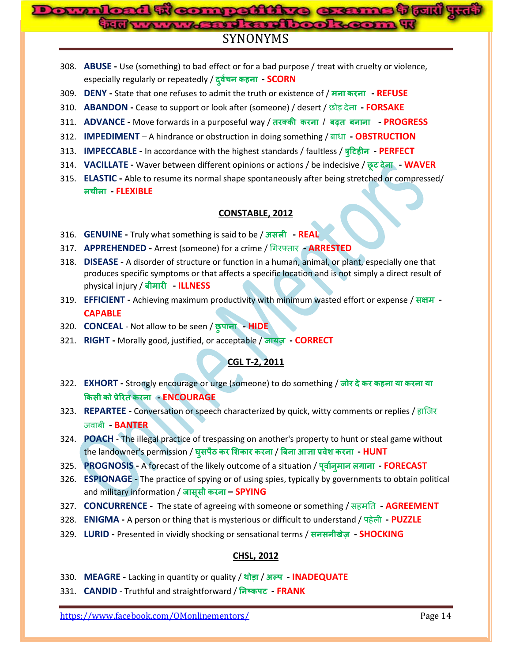# **competitive exame i Juli 451 Maritanibook** SYNONYMS

- 308. **ABUSE -** Use (something) to bad effect or for a bad purpose / treat with cruelty or violence, especially regularly or repeatedly / **च ह - SCORN**
- 309. **DENY -** State that one refuses to admit the truth or existence of / **- REFUSE**
- 310. **ABANDON -** Cease to support or look after (someone) / desert / िोड देना **- FORSAKE**
- 311. **ADVANCE -** Move forwards in a purposeful way / / **- PROGRESS**
- 312. **IMPEDIMENT** A hindrance or obstruction in doing something / फाधा **- OBSTRUCTION**
- 313. **IMPECCABLE -** In accordance with the highest standards / faultless / **ह - PERFECT**
- 314. **VACILLATE -** Waver between different opinions or actions / be indecisive / **- WAVER**
- 315. **ELASTIC -** Able to resume its normal shape spontaneously after being stretched or compressed/  **च - FLEXIBLE**

#### **CONSTABLE, 2012**

- 316. **GENUINE -** Truly what something is said to be / **- REAL**
- 317. **APPREHENDED -** Arrest (someone) for a crime / चगयफ्ताय **- ARRESTED**
- 318. **DISEASE -** A disorder of structure or function in a human, animal, or plant, especially one that produces specific symptoms or that affects a specific location and is not simply a direct result of physical injury / **- ILLNESS**
- 319. **EFFICIENT -** Achieving maximum productivity with minimum wasted effort or expense / **- CAPABLE**
- 320. **CONCEAL** Not allow to be seen / **- HIDE**
- 321. **RIGHT -** Morally good, justified, or acceptable / **- CORRECT**

# **CGL T-2, 2011**

- 322. **EXHORT -** Strongly encourage or urge (someone) to do something / **ह - ENCOURAGE**
- 323. **REPARTEE -** Conversation or speech characterized by quick, witty comments or replies / हाजजय जवाफी **- BANTER**
- 324. **POACH** The illegal practice of trespassing on another's property to hunt or steal game without the landowner's permission / घुसपैठ कर शिकार करना / बिना आज्ञा प्रवेश करना - HUNT
- 325. **PROGNOSIS** A forecast of the likely outcome of a situation / पूर्वान् मान लगाना FORECAST
- 326. **ESPIONAGE -** The practice of spying or of using spies, typically by governments to obtain political and military information / **– SPYING**
- 327. **CONCURRENCE -** The state of agreeing with someone or something / सहभनत **- AGREEMENT**
- 328. **ENIGMA -** A person or thing that is mysterious or difficult to understand / ऩहेरी **- PUZZLE**
- 329. **LURID -** Presented in vividly shocking or sensational terms / **- SHOCKING**

# **CHSL, 2012**

- 330. **MEAGRE -** Lacking in quantity or quality / / **- INADEQUATE**
- 331. **CANDID** Truthful and straightforward / निष्कपट FRANK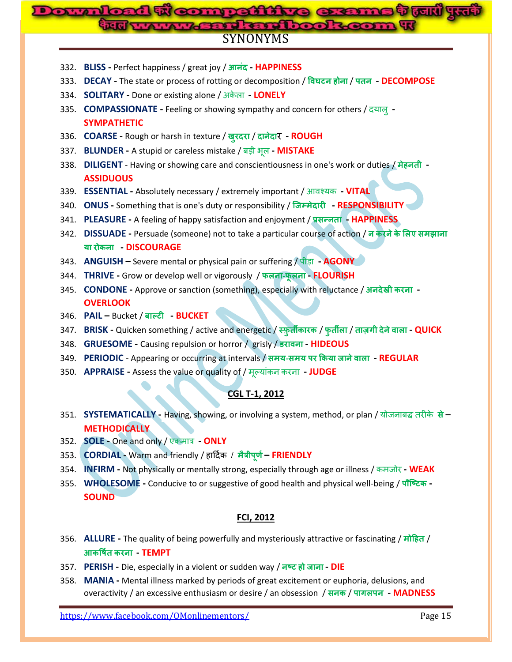# SYNONYMS **Downloaded From: www.gossc.in**

- 332. **BLISS -** Perfect happiness / great joy / **- HAPPINESS**
- 333. **DECAY -** The state or process of rotting or decomposition / **ह** / **- DECOMPOSE**
- 334. **SOLITARY -** Done or existing alone / अके रा **- LONELY**
- 335. **COMPASSIONATE -** Feeling or showing sympathy and concern for others / दमार **- SYMPATHETIC**
- 336. **COARSE -** Rough or harsh in texture / / र **- ROUGH**
- 337. **BLUNDER -** A stupid or careless mistake / फडी बूर **- MISTAKE**
- 338. **DILIGENT** Having or showing care and conscientiousness in one's work or duties / **ह - ASSIDUOUS**
- 339. **ESSENTIAL -** Absolutely necessary / extremely important / आवश्मक **- VITAL**
- 340. **ONUS -** Something that is one's duty or responsibility / **- RESPONSIBILITY**
- 341. **PLEASURE -** A feeling of happy satisfaction and enjoyment / **- HAPPINESS**
- 342. **DISSUADE -** Persuade (someone) not to take a particular course of action / **ए - DISCOURAGE**
- 343. **ANGUISH –** Severe mental or physical pain or suffering / ऩीडा **- AGONY**
- 344. **THRIVE -** Grow or develop well or vigorously / **- - FLOURISH**
- 345. **CONDONE -** Approve or sanction (something), especially with reluctance / **- OVERLOOK**
- 346. **PAIL –** Bucket / **- BUCKET**
- 347. **BRISK -** Quicken something / active and energetic / / / **- QUICK**
- 348. **GRUESOME -** Causing repulsion or horror / grisly / **- HIDEOUS**
- 349. **PERIODIC** Appearing or occurring at intervals / **- - REGULAR**
- 350. **APPRAISE -** Assess the value or quality of / र **- JUDGE**

# **CGL T-1, 2012**

- 351. **SYSTEMATICALLY -** Having, showing, or involving a system, method, or plan / मोजनाफद्ध तयीके **– METHODICALLY**
- 352. **SOLE -** One and only / एकभात्र **- ONLY**
- 353. **CORDIAL -** Warm and friendly / हाददणक / **– FRIENDLY**
- 354. **INFIRM -** Not physically or mentally strong, especially through age or illness / कभजोय **- WEAK**
- 355. **WHOLESOME -** Conducive to or suggestive of good health and physical well-being / **- SOUND**

#### **FCI, 2012**

- 356. **ALLURE -** The quality of being powerfully and mysteriously attractive or fascinating / **ह** /  **- TEMPT**
- 357. **PERISH -** Die, especially in a violent or sudden way / **ह - DIE**
- 358. **MANIA -** Mental illness marked by periods of great excitement or euphoria, delusions, and overactivity / an excessive enthusiasm or desire / an obsession / / **- MADNESS**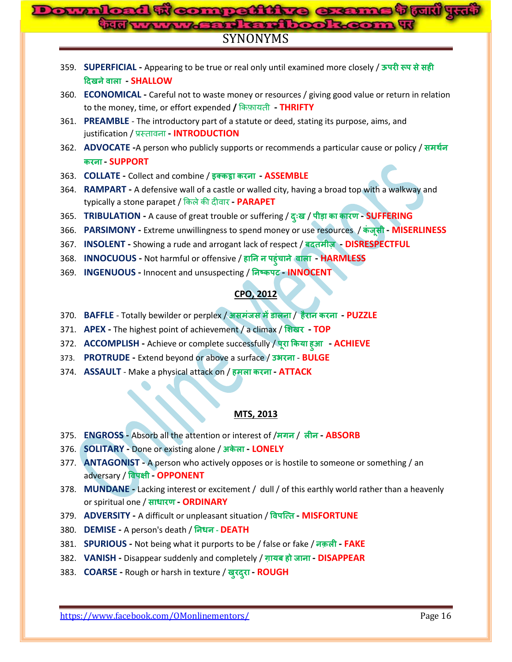# SYNONYMS **Compattitue G:**

|      | 359. SUPERFICIAL - Appearing to be true or real only until examined more closely / ऊपरी रूप से सही                                                                 |  |  |  |  |  |  |
|------|--------------------------------------------------------------------------------------------------------------------------------------------------------------------|--|--|--|--|--|--|
|      | दिखने वाला - SHALLOW                                                                                                                                               |  |  |  |  |  |  |
|      | 360. ECONOMICAL - Careful not to waste money or resources / giving good value or return in relation<br>to the money, time, or effort expended / किफ़ायती - THRIFTY |  |  |  |  |  |  |
|      | 361. PREAMBLE - The introductory part of a statute or deed, stating its purpose, aims, and<br>justification / प्रस्तावना - <b>INTRODUCTION</b>                     |  |  |  |  |  |  |
|      | 362. ADVOCATE -A person who publicly supports or recommends a particular cause or policy / समर्थन<br>करना - SUPPORT                                                |  |  |  |  |  |  |
|      | 363. COLLATE - Collect and combine / इक्कड़ा करना - ASSEMBLE                                                                                                       |  |  |  |  |  |  |
|      | 364. RAMPART - A defensive wall of a castle or walled city, having a broad top with a walkway and<br>typically a stone parapet / किले की दीवार - PARAPET           |  |  |  |  |  |  |
| 365. | TRIBULATION - A cause of great trouble or suffering / दुःख / पीड़ा का कारण - SUFFERING                                                                             |  |  |  |  |  |  |
| 366. | PARSIMONY - Extreme unwillingness to spend money or use resources / कंजूसी - MISERLINESS                                                                           |  |  |  |  |  |  |
| 367. | INSOLENT - Showing a rude and arrogant lack of respect / बदतमीज़ - DISRESPECTFUL                                                                                   |  |  |  |  |  |  |
|      | 368. INNOCUOUS - Not harmful or offensive / हानि न पहुंचाने बाला - HARMLESS                                                                                        |  |  |  |  |  |  |
| 369. | INGENUOUS - Innocent and unsuspecting / निष्कपट - INNOCENT                                                                                                         |  |  |  |  |  |  |
|      |                                                                                                                                                                    |  |  |  |  |  |  |
|      | <b>CPO, 2012</b>                                                                                                                                                   |  |  |  |  |  |  |
|      | 370. BAFFLE - Totally bewilder or perplex / असमंजस में डालना / हैरान करना - PUZZLE                                                                                 |  |  |  |  |  |  |
| 371. | APEX - The highest point of achievement / a climax / शिखर - TOP                                                                                                    |  |  |  |  |  |  |
|      | 372. ACCOMPLISH - Achieve or complete successfully / पूरा किया हुआ - ACHIEVE                                                                                       |  |  |  |  |  |  |
| 373. | PROTRUDE - Extend beyond or above a surface / उभरना - BULGE                                                                                                        |  |  |  |  |  |  |
|      | 374. ASSAULT - Make a physical attack on / हमला करना - ATTACK                                                                                                      |  |  |  |  |  |  |
|      |                                                                                                                                                                    |  |  |  |  |  |  |
|      |                                                                                                                                                                    |  |  |  |  |  |  |
|      | <b>MTS, 2013</b>                                                                                                                                                   |  |  |  |  |  |  |
| 375. | <b>ENGROSS</b> - Absorb all the attention or interest of /मगन / लीन - ABSORB                                                                                       |  |  |  |  |  |  |
| 376. | SOLITARY - Done or existing alone / अकेला - LONELY                                                                                                                 |  |  |  |  |  |  |
|      | 377. ANTAGONIST - A person who actively opposes or is hostile to someone or something / an                                                                         |  |  |  |  |  |  |
|      | adversary / विपक्षी - OPPONENT                                                                                                                                     |  |  |  |  |  |  |
| 378. | MUNDANE - Lacking interest or excitement / dull / of this earthly world rather than a heavenly                                                                     |  |  |  |  |  |  |
|      | or spiritual one / साधारण - ORDINARY                                                                                                                               |  |  |  |  |  |  |
|      | 379. <b>ADVERSITY</b> - A difficult or unpleasant situation / विपत्ति MISFORTUNE                                                                                   |  |  |  |  |  |  |
| 380. | DEMISE - A person's death / निधन - DEATH                                                                                                                           |  |  |  |  |  |  |
| 381. | SPURIOUS - Not being what it purports to be / false or fake / नक़ली - FAKE                                                                                         |  |  |  |  |  |  |
|      |                                                                                                                                                                    |  |  |  |  |  |  |

- 382. **VANISH -** Disappear suddenly and completely / **ह - DISAPPEAR**
- 383. **COARSE -** Rough or harsh in texture / **- ROUGH**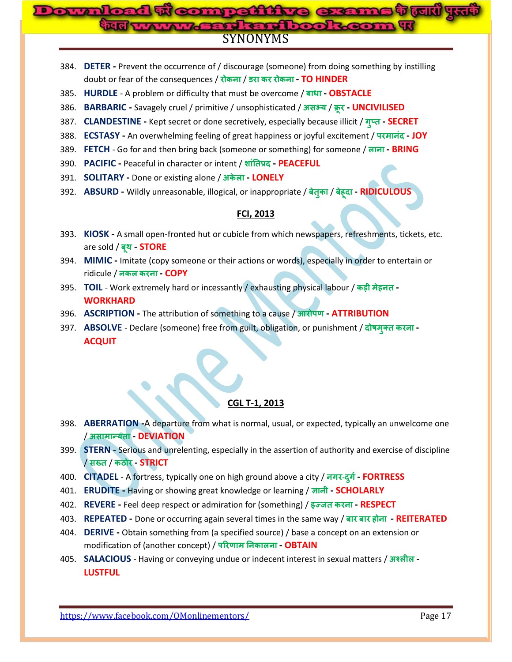#### <mark>जे तिजारी पुरन्तन</mark>  $\mathbf{D}$ **Downloaded From: www.gossc.in**SYNONYMS

- 384. **DETER -** Prevent the occurrence of / discourage (someone) from doing something by instilling doubt or fear of the consequences / रोकना / डरा कर रोकना - TO HINDER
- 385. **HURDLE** A problem or difficulty that must be overcome / **- OBSTACLE**
- 386. **BARBARIC -** Savagely cruel / primitive / unsophisticated / / **- UNCIVILISED**
- 387. **CLANDESTINE -** Kept secret or done secretively, especially because illicit / **- SECRET**
- 388. **ECSTASY -** An overwhelming feeling of great happiness or joyful excitement / **- JOY**
- 389. **FETCH** Go for and then bring back (someone or something) for someone / **- BRING**
- 390. **PACIFIC -** Peaceful in character or intent / **- PEACEFUL**
- 391. **SOLITARY -** Done or existing alone / **- LONELY**
- 392. **ABSURD -** Wildly unreasonable, illogical, or inappropriate / / **ह - RIDICULOUS**

## **FCI, 2013**

- 393. **KIOSK -** A small open-fronted hut or cubicle from which newspapers, refreshments, tickets, etc. are sold / बूथ - **STORE**
- 394. **MIMIC -** Imitate (copy someone or their actions or words), especially in order to entertain or ridicule / **- COPY**
- 395. **TOIL** Work extremely hard or incessantly / exhausting physical labour / **ह - WORKHARD**
- 396. **ASCRIPTION -** The attribution of something to a cause / **- ATTRIBUTION**
- 397. **ABSOLVE** Declare (someone) free from guilt, obligation, or punishment / दोषमुक्त करना -**ACQUIT**

#### **CGL T-1, 2013**

- 398. **ABERRATION -**A departure from what is normal, usual, or expected, typically an unwelcome one / **- DEVIATION**
- 399. **STERN -** Serious and unrelenting, especially in the assertion of authority and exercise of discipline / / **- STRICT**
- 400. **CITADEL** A fortress, typically one on high ground above a city / **- - FORTRESS**
- 401. **ERUDITE -** Having or showing great knowledge or learning / **- SCHOLARLY**
- 402. **REVERE -** Feel deep respect or admiration for (something) / **- RESPECT**
- 403. **REPEATED -** Done or occurring again several times in the same way / **ह - REITERATED**
- 404. **DERIVE -** Obtain something from (a specified source) / base a concept on an extension or modification of (another concept) / परिणाम निकालना - **OBTAIN**
- 405. **SALACIOUS** Having or conveying undue or indecent interest in sexual matters / **- LUSTFUL**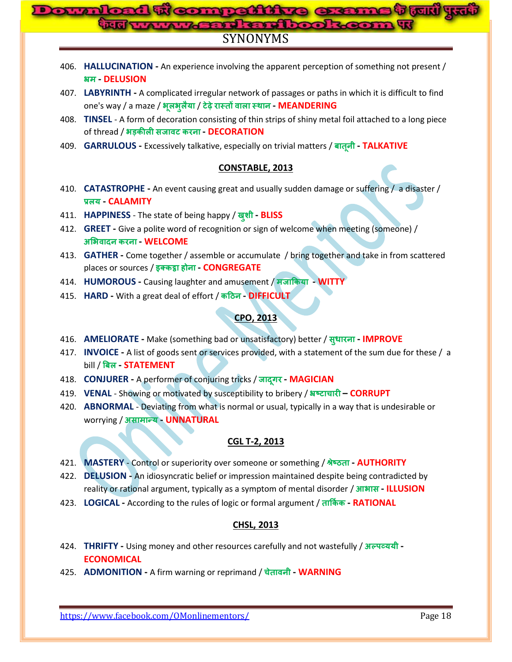#### **Downloaded From: www.gossc.inme trun ya said and book** SYNONYMS

- 406. **HALLUCINATION -** An experience involving the apparent perception of something not present /  **- DELUSION**
- 407. **LABYRINTH -** A complicated irregular network of passages or paths in which it is difficult to find one's way / a maze / / **- MEANDERING**
- 408. **TINSEL** A form of decoration consisting of thin strips of shiny metal foil attached to a long piece of thread / **- DECORATION**
- 409. **GARRULOUS -** Excessively talkative, especially on trivial matters / **- TALKATIVE**

### **CONSTABLE, 2013**

- 410. **CATASTROPHE -** An event causing great and usually sudden damage or suffering / a disaster /  **- CALAMITY**
- 411. **HAPPINESS** The state of being happy / **- BLISS**
- 412. **GREET -** Give a polite word of recognition or sign of welcome when meeting (someone) /  **- WELCOME**
- 413. **GATHER -** Come together / assemble or accumulate / bring together and take in from scattered places or sources / **ह - CONGREGATE**
- 414. **HUMOROUS -** Causing laughter and amusement / **- WITTY**
- 415. **HARD -** With a great deal of effort / **- DIFFICULT**

## **CPO, 2013**

- 416. **AMELIORATE -** Make (something bad or unsatisfactory) better / **- IMPROVE**
- 417. **INVOICE -** A list of goods sent or services provided, with a statement of the sum due for these / a **bill / बिल STATEMENT**
- 418. **CONJURER -** A performer of conjuring tricks / **- MAGICIAN**
- 419. **VENAL** Showing or motivated by susceptibility to bribery / **च – CORRUPT**
- 420. **ABNORMAL** Deviating from what is normal or usual, typically in a way that is undesirable or **worrying / असामान्य - UNNATURAL**

# **CGL T-2, 2013**

- 421. **MASTERY** Control or superiority over someone or something / **- AUTHORITY**
- 422. **DELUSION -** An idiosyncratic belief or impression maintained despite being contradicted by reality or rational argument, typically as a symptom of mental disorder / **- ILLUSION**
- 423. **LOGICAL -** According to the rules of logic or formal argument / **- RATIONAL**

# **CHSL, 2013**

- 424. **THRIFTY -** Using money and other resources carefully and not wastefully / **- ECONOMICAL**
- 425. **ADMONITION -** A firm warning or reprimand / **च - WARNING**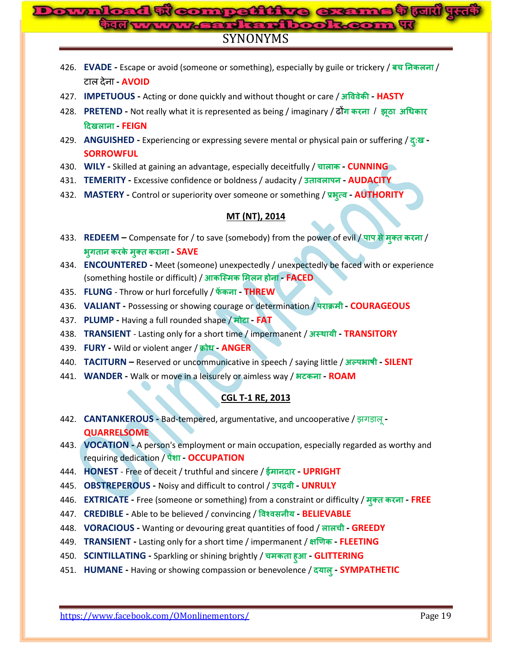#### d ti comnettive exame t tul*'* ku  $O(10)$ **Mand and book SYNONYMS**

- 426. **EVADE** Escape or avoid (someone or something), especially by guile or trickery / बच निकलना / **- AVOID**
- 427. **IMPETUOUS -** Acting or done quickly and without thought or care / **- HASTY**
- 428. **PRETEND -** Not really what it is represented as being / imaginary / दोन करना / झूठा अधिकार  **- FEIGN**
- 429. **ANGUISHED -** Experiencing or expressing severe mental or physical pain or suffering / **: - SORROWFUL**
- 430. **WILY -** Skilled at gaining an advantage, especially deceitfully / **च - CUNNING**
- 431. **TEMERITY -** Excessive confidence or boldness / audacity / **- AUDACITY**
- 432. **MASTERY -** Control or superiority over someone or something / **- AUTHORITY**

#### **MT (NT), 2014**

- 433. **REDEEM** Compensate for / to save (somebody) from the power of evil / पाप से मुक्त करना /  **- SAVE**
- 434. **ENCOUNTERED -** Meet (someone) unexpectedly / unexpectedly be faced with or experience (something hostile or difficult) / **ह - FACED**
- 435. **FLUNG** Throw or hurl forcefully / **- THREW**
- 436. **VALIANT -** Possessing or showing courage or determination / **- COURAGEOUS**
- 437. **PLUMP -** Having a full rounded shape / **- FAT**
- 438. **TRANSIENT** Lasting only for a short time / impermanent / **- TRANSITORY**
- 439. **FURY -** Wild or violent anger / **- ANGER**
- 440. **TACITURN –** Reserved or uncommunicative in speech / saying little / **- SILENT**
- 441. **WANDER -** Walk or move in a leisurely or aimless way / **- ROAM**

# **CGL T-1 RE, 2013**

- 442. **CANTANKEROUS -** Bad-tempered, argumentative, and uncooperative / झगडारू**- QUARRELSOME**
- 443. **VOCATION -** A person's employment or main occupation, especially regarded as worthy and **requiring dedication / पेशा - OCCUPATION**
- 444. **HONEST**  Free of deceit / truthful and sincere / **- UPRIGHT**
- 445. **OBSTREPEROUS -** Noisy and difficult to control / **- UNRULY**
- 446. **EXTRICATE -** Free (someone or something) from a constraint or difficulty / **- FREE**
- 447. **CREDIBLE -** Able to be believed / convincing / **- BELIEVABLE**
- 448. **VORACIOUS -** Wanting or devouring great quantities of food / **च - GREEDY**
- 449. **TRANSIENT -** Lasting only for a short time / impermanent / **- FLEETING**
- 450. **SCINTILLATING -** Sparkling or shining brightly / **च ह - GLITTERING**
- 451. **HUMANE Having or showing compassion or benevolence / दयालु SYMPATHETIC**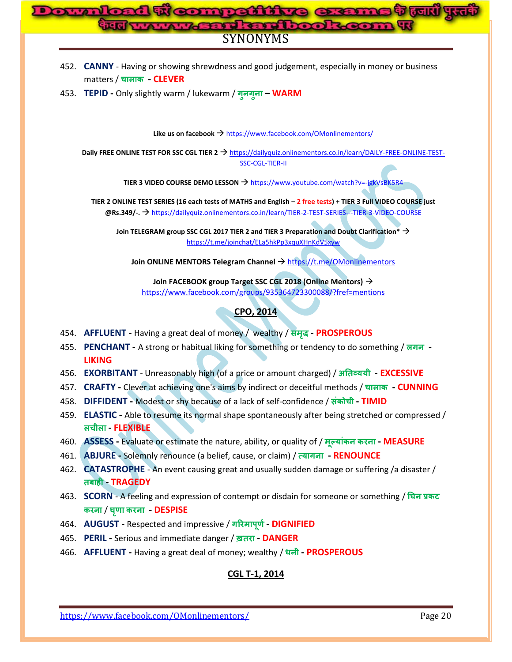# SYNONYMS **Downloaded From: www.gossc.in**

- 452. **CANNY** Having or showing shrewdness and good judgement, especially in money or business matters / **च - CLEVER**
- 453. **TEPID -** Only slightly warm / lukewarm / **– WARM**

Like us on facebook → <https://www.facebook.com/OMonlinementors/>

**Daily FREE ONLINE TEST FOR SSC CGL TIER 2 → [https://dailyquiz.onlinementors.co.in/learn/DAILY-FREE-ONLINE-TEST-](https://dailyquiz.onlinementors.co.in/learn/DAILY-FREE-ONLINE-TEST-SSC-CGL-TIER-II)**[SSC-CGL-TIER-II](https://dailyquiz.onlinementors.co.in/learn/DAILY-FREE-ONLINE-TEST-SSC-CGL-TIER-II)

**TIER 3 VIDEO COURSE DEMO LESSON → <https://www.youtube.com/watch?v=-jgkVsBK5R4>** 

**TIER 2 ONLINE TEST SERIES (16 each tests of MATHS and English – 2 free tests) + TIER 3 Full VIDEO COURSE just @Rs.349/-.** <https://dailyquiz.onlinementors.co.in/learn/TIER-2-TEST-SERIES---TIER-3-VIDEO-COURSE>

**Join TELEGRAM group SSC CGL 2017 TIER 2 and TIER 3 Preparation and Doubt Clarification\*** <https://t.me/joinchat/ELa5hkPp3xquXHnKdV5xyw>

**Join ONLINE MENTORS Telegram Channel**  $\rightarrow$  <https://t.me/OMonlinementors>

**Join FACEBOOK group Target SSC CGL 2018 (Online Mentors)** <https://www.facebook.com/groups/935364723300088/?fref=mentions>

#### **CPO, 2014**

- 454. **AFFLUENT -** Having a great deal of money / wealthy / **- PROSPEROUS**
- 455. **PENCHANT** A strong or habitual liking for something or tendency to do something / लगन -**LIKING**
- 456. **EXORBITANT** Unreasonably high (of a price or amount charged) / **- EXCESSIVE**
- 457. **CRAFTY -** Clever at achieving one's aims by indirect or deceitful methods / **च - CUNNING**
- 458. **DIFFIDENT -** Modest or shy because of a lack of self-confidence / **च - TIMID**
- 459. **ELASTIC -** Able to resume its normal shape spontaneously after being stretched or compressed /  **च - FLEXIBLE**
- 460. **ASSESS -** Evaluate or estimate the nature, ability, or quality of / **- MEASURE**
- 461. **ABJURE -** Solemnly renounce (a belief, cause, or claim) / **- RENOUNCE**
- 462. **CATASTROPHE** An event causing great and usually sudden damage or suffering /a disaster /  **ह - TRAGEDY**
- 463. **SCORN** A feeling and expression of contempt or disdain for someone or something // **- DESPISE**
- 464. **AUGUST -** Respected and impressive / **- DIGNIFIED**
- 465. **PERIL -** Serious and immediate danger / **- DANGER**
- 466. **AFFLUENT -** Having a great deal of money; wealthy / **- PROSPEROUS**

# **CGL T-1, 2014**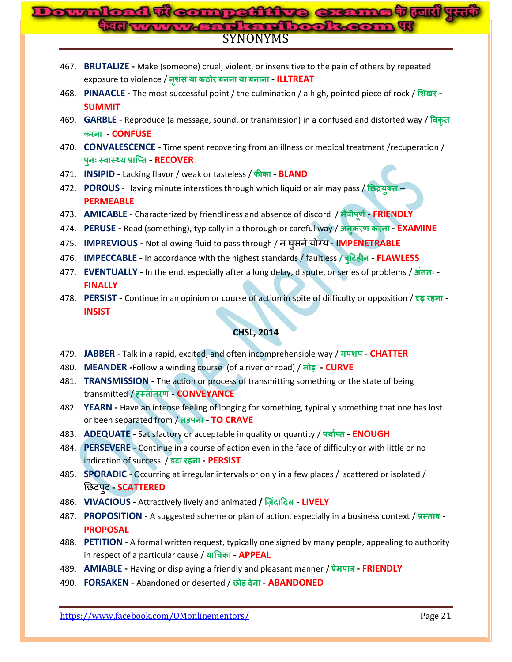#### **competitive exame that yr**  $O(10)$ **Jan Roof** SYNONYMS

- 467. **BRUTALIZE -** Make (someone) cruel, violent, or insensitive to the pain of others by repeated exposure to violence / **- ILLTREAT**
- 468. **PINAACLE -** The most successful point / the culmination / a high, pointed piece of rock / **- SUMMIT**
- 469. **GARBLE -** Reproduce (a message, sound, or transmission) in a confused and distorted way /  **- CONFUSE**
- 470. **CONVALESCENCE -** Time spent recovering from an illness or medical treatment /recuperation /  **- RECOVER**
- 471. **INSIPID -** Lacking flavor / weak or tasteless / **- BLAND**
- 472. **POROUS** Having minute interstices through which liquid or air may pass / **– PERMEABLE**
- 473. AMICABLE Characterized by friendliness and absence of discord / मैत्रीपूर्ण FRIENDLY
- 474. **PERUSE -** Read (something), typically in a thorough or careful way / **- EXAMINE**
- 475. **IMPREVIOUS -** Not allowing fluid to pass through / **- IMPENETRABLE**
- 476. **IMPECCABLE -** In accordance with the highest standards / faultless **/ ह - FLAWLESS**
- 477. **EVENTUALLY -** In the end, especially after a long delay, dispute, or series of problems / **- FINALLY**
- 478. **PERSIST -** Continue in an opinion or course of action in spite of difficulty or opposition / **ह - INSIST**

# **CHSL, 2014**

- 479. **JABBER** Talk in a rapid, excited, and often incomprehensible way / **- CHATTER**
- 480. **MEANDER -**Follow a winding course (of a river or road) / **- CURVE**
- 481. **TRANSMISSION -** The action or process of transmitting something or the state of being transmitted / **ह - CONVEYANCE**
- 482. **YEARN -** Have an intense feeling of longing for something, typically something that one has lost **or been separated from / तड़पना - TO CRAVE**
- 483. **ADEQUATE -** Satisfactory or acceptable in quality or quantity / **- ENOUGH**
- 484. **PERSEVERE -** Continue in a course of action even in the face of difficulty or with little or no indication of success / **ह - PERSIST**
- 485. **SPORADIC** Occurring at irregular intervals or only in a few places / scattered or isolated / **- SCATTERED**
- 486. **VIVACIOUS -** Attractively lively and animated **/ - LIVELY**
- 487. **PROPOSITION -** A suggested scheme or plan of action, especially in a business context / **- PROPOSAL**
- 488. **PETITION** A formal written request, typically one signed by many people, appealing to authority in respect of a particular cause / **च - APPEAL**
- 489. **AMIABLE -** Having or displaying a friendly and pleasant manner / **- FRIENDLY**
- 490. **FORSAKEN -** Abandoned or deserted / **- ABANDONED**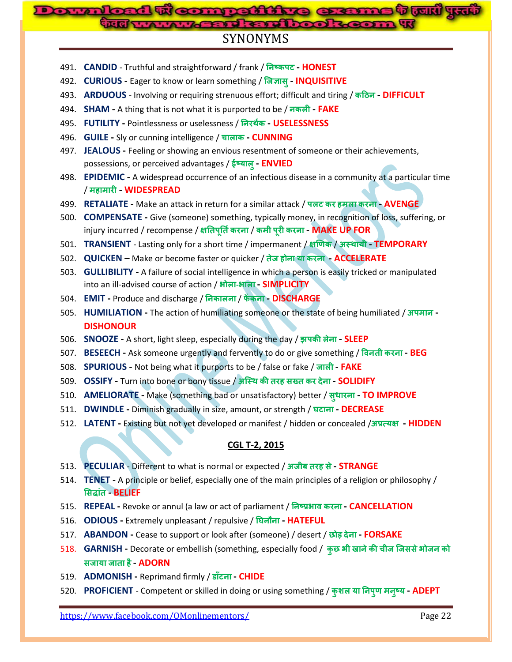# **Downloaded From: www.gossc.inA Brid Road Road R**

# SYNONYMS

- 491. **CANDID** Truthful and straightforward / frank / **- HONEST**
- 492. **CURIOUS -** Eager to know or learn something / **- INQUISITIVE**
- 493. **ARDUOUS** Involving or requiring strenuous effort; difficult and tiring / **- DIFFICULT**
- 494. **SHAM -** A thing that is not what it is purported to be / **- FAKE**
- 495. **FUTILITY -** Pointlessness or uselessness / **- USELESSNESS**
- 496. **GUILE -** Sly or cunning intelligence / **च - CUNNING**
- 497. **JEALOUS -** Feeling or showing an envious resentment of someone or their achievements, possessions, or perceived advantages / ई**ष्याल् - ENVIED**
- 498. **EPIDEMIC -** A widespread occurrence of an infectious disease in a community at a particular time / **ह - WIDESPREAD**
- 499. **RETALIATE -** Make an attack in return for a similar attack / **ह - AVENGE**
- 500. **COMPENSATE -** Give (someone) something, typically money, in recognition of loss, suffering, or injury incurred / recompense / क्षतिपूर्ति करना / कमी पूरी करना - MAKE UP FOR
- 501. **TRANSIENT** Lasting only for a short time / impermanent / / **- TEMPORARY**
- 502. **QUICKEN –** Make or become faster or quicker / **ह - ACCELERATE**
- 503. **GULLIBILITY -** A failure of social intelligence in which a person is easily tricked or manipulated into an ill-advised course of action / **- - SIMPLICITY**
- 504. **EMIT -** Produce and discharge // **- DISCHARGE**
- 505. **HUMILIATION -** The action of humiliating someone or the state of being humiliated / **- DISHONOUR**
- 506. **SNOOZE -** A short, light sleep, especially during the day / **- SLEEP**
- 507. **BESEECH -** Ask someone urgently and fervently to do or give something / **- BEG**
- 508. **SPURIOUS -** Not being what it purports to be / false or fake / **- FAKE**
- 509. **OSSIFY -** Turn into bone or bony tissue / **ह - SOLIDIFY**
- 510. **AMELIORATE -** Make (something bad or unsatisfactory) better / **- TO IMPROVE**
- 511. **DWINDLE -** Diminish gradually in size, amount, or strength / **- DECREASE**
- 512. **LATENT -** Existing but not yet developed or manifest / hidden or concealed / **- HIDDEN**

# **CGL T-2, 2015**

- 513. **PECULIAR** Different to what is normal or expected / **ह - STRANGE**
- 514. **TENET -** A principle or belief, especially one of the main principles of a religion or philosophy /  **- BELIEF**
- 515. **REPEAL -** Revoke or annul (a law or act of parliament / **- CANCELLATION**
- 516. **ODIOUS -** Extremely unpleasant / repulsive / **- HATEFUL**
- 517. **ABANDON -** Cease to support or look after (someone) / desert / **- FORSAKE**
- 518. **GARNISH** Decorate or embellish (something, especially food / कुछ भी खाने की चीज जिससे भोजन को  **ह - ADORN**
- 519. **ADMONISH -** Reprimand firmly / **- CHIDE**
- 520. **PROFICIENT** Competent or skilled in doing or using something / **- ADEPT**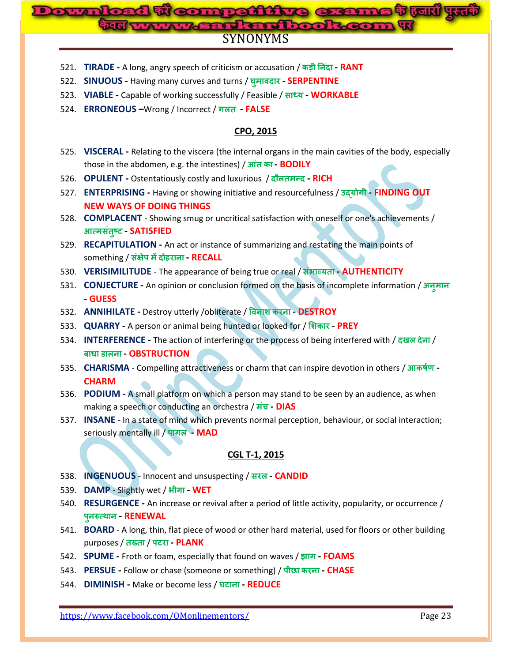# SYNONYMS **Downloaded From: www.gossc.in**

- 521. **TIRADE -** A long, angry speech of criticism or accusation / **- RANT**
- 522. **SINUOUS -** Having many curves and turns / **- SERPENTINE**
- 523. **VIABLE -** Capable of working successfully / Feasible / **- WORKABLE**
- 524. **ERRONEOUS –**Wrong / Incorrect / **- FALSE**

#### **CPO, 2015**

- 525. **VISCERAL -** Relating to the viscera (the internal organs in the main cavities of the body, especially those in the abdomen, e.g. the intestines) /  $\overline{\text{3n}}$  **a** - **BODILY**
- 526. **OPULENT -** Ostentatiously costly and luxurious / **- RICH**
- 527. **ENTERPRISING -** Having or showing initiative and resourcefulness / **- FINDING OUT NEW WAYS OF DOING THINGS**
- 528. **COMPLACENT** Showing smug or uncritical satisfaction with oneself or one's achievements /  **- SATISFIED**
- 529. **RECAPITULATION -** An act or instance of summarizing and restating the main points of something / **ह - RECALL**
- 530. **VERISIMILITUDE** The appearance of being true or real / **- AUTHENTICITY**
- 531. **CONJECTURE -** An opinion or conclusion formed on the basis of incomplete information / **- GUESS**
- 532. **ANNIHILATE -** Destroy utterly /obliterate / **- DESTROY**
- 533. **QUARRY -** A person or animal being hunted or looked for / **- PREY**
- 534. **INTERFERENCE** The action of interfering or the process of being interfered with / दखल देना /  **- OBSTRUCTION**
- 535. **CHARISMA** Compelling attractiveness or charm that can inspire devotion in others / **- CHARM**
- 536. **PODIUM -** A small platform on which a person may stand to be seen by an audience, as when making a speech or conducting an orchestra / **च - DIAS**
- 537. **INSANE** In a state of mind which prevents normal perception, behaviour, or social interaction; seriously mentally ill / पागल - MAD

#### **CGL T-1, 2015**

- 538. **INGENUOUS** Innocent and unsuspecting / **- CANDID**
- 539. **DAMP** Slightly wet / **- WET**
- 540. **RESURGENCE -** An increase or revival after a period of little activity, popularity, or occurrence /  **- RENEWAL**
- 541. **BOARD** A long, thin, flat piece of wood or other hard material, used for floors or other building purposes / तख्ता / पटरा - PLANK
- 542. **SPUME -** Froth or foam, especially that found on waves / **- FOAMS**
- 543. **PERSUE -** Follow or chase (someone or something) / **- CHASE**
- 544. **DIMINISH -** Make or become less / **- REDUCE**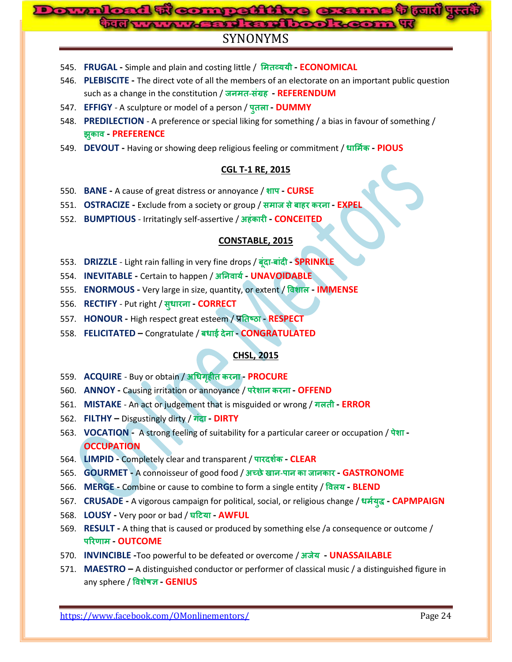# SYNONYMS **Comnection**

- 545. **FRUGAL -** Simple and plain and costing little / **- ECONOMICAL**
- 546. **PLEBISCITE -** The direct vote of all the members of an electorate on an important public question such as a change in the constitution / **- ह - REFERENDUM**
- 547. **EFFIGY** A sculpture or model of a person / प्*तला* DUMMY
- 548. **PREDILECTION** A preference or special liking for something / a bias in favour of something /  **- PREFERENCE**
- 549. **DEVOUT -** Having or showing deep religious feeling or commitment / **- PIOUS**

#### **CGL T-1 RE, 2015**

- 550. **BANE -** A cause of great distress or annoyance / **- CURSE**
- 551. **OSTRACIZE -** Exclude from a society or group / **ह - EXPEL**
- 552. **BUMPTIOUS** Irritatingly self-assertive / **ह - CONCEITED**

#### **CONSTABLE, 2015**

- 553. **DRIZZLE** Light rain falling in very fine drops / **- - SPRINKLE**
- 554. **INEVITABLE -** Certain to happen / **- UNAVOIDABLE**
- 555. **ENORMOUS -** Very large in size, quantity, or extent / **- IMMENSE**
- 556. **RECTIFY** Put right / **- CORRECT**
- 557. **HONOUR -** High respect great esteem / **- RESPECT**
- 558. **FELICITATED –** Congratulate / **- CONGRATULATED**

#### **CHSL, 2015**

- 559. **ACQUIRE** Buy or obtain / **ह - PROCURE**
- 560. **ANNOY -** Causing irritation or annoyance / **- OFFEND**
- 561. **MISTAKE** An act or judgement that is misguided or wrong / गलती **ERROR**
- 562. **FILTHY –** Disgustingly dirty / **- DIRTY**
- 563. **VOCATION** A strong feeling of suitability for a particular career or occupation / **- OCCUPATION**
- 564. **LIMPID -** Completely clear and transparent / **- CLEAR**
- 565. **GOURMET -** A connoisseur of good food / **- - GASTRONOME**
- 566. **MERGE -** Combine or cause to combine to form a single entity / **- BLEND**
- 567. **CRUSADE** A vigorous campaign for political, social, or religious change / धर्मयुद्ध **CAPMPAIGN**
- 568. **LOUSY -** Very poor or bad / **- AWFUL**
- 569. **RESULT -** A thing that is caused or produced by something else /a consequence or outcome /  **- OUTCOME**
- 570. **INVINCIBLE -**Too powerful to be defeated or overcome / **- UNASSAILABLE**
- 571. **MAESTRO –** A distinguished conductor or performer of classical music / a distinguished figure in any sphere / विशेषज्ञ - **GENIUS**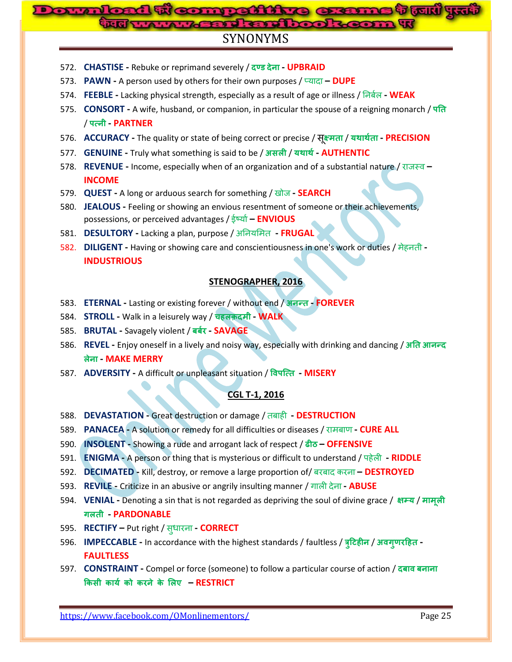# **Bomnation**

# SYNONYMS

- 572. **CHASTISE -** Rebuke or reprimand severely / **- UPBRAID**
- 573. **PAWN -** A person used by others for their own purposes / प्मादा **– DUPE**
- 574. **FEEBLE -** Lacking physical strength, especially as a result of age or illness / ननफणर **- WEAK**
- 575. **CONSORT -** A wife, husband, or companion, in particular the spouse of a reigning monarch / / **- PARTNER**
- 576. **ACCURACY -** The quality or state of being correct or precise / / **- PRECISION**
- 577. **GENUINE -** Truly what something is said to be / / **- AUTHENTIC**
- 578. **REVENUE -** Income, especially when of an organization and of a substantial nature / याजस्व **– INCOME**
- 579. **QUEST -** A long or arduous search for something / खोज **- SEARCH**
- 580. **JEALOUS -** Feeling or showing an envious resentment of someone or their achievements, possessions, or perceived advantages / ईर्षमाण**– ENVIOUS**
- 581. **DESULTORY -** Lacking a plan, purpose / अननममभत **- FRUGAL**
- 582. **DILIGENT -** Having or showing care and conscientiousness in one's work or duties / भेहनती **- INDUSTRIOUS**

## **STENOGRAPHER, 2016**

- 583. **ETERNAL -** Lasting or existing forever / without end / **- FOREVER**
- 584. **STROLL -** Walk in a leisurely way / **चह - WALK**
- 585. **BRUTAL -** Savagely violent / **- SAVAGE**
- 586. **REVEL -** Enjoy oneself in a lively and noisy way, especially with drinking and dancing /  **- MAKE MERRY**
- 587. ADVERSITY A difficult or unpleasant situation / विपत्ति MISERY

# **CGL T-1, 2016**

- 588. **DEVASTATION -** Great destruction or damage / तफाही **- DESTRUCTION**
- 589. **PANACEA -** A solution or remedy for all difficulties or diseases / याभफार् **- CURE ALL**
- 590. **INSOLENT -** Showing a rude and arrogant lack of respect / **– OFFENSIVE**
- 591. **ENIGMA -** A person or thing that is mysterious or difficult to understand / ऩहेरी **- RIDDLE**
- 592. **DECIMATED -** Kill, destroy, or remove a large proportion of/ फयफाद कयना **– DESTROYED**
- 593. **REVILE -** Criticize in an abusive or angrily insulting manner / गारी देना **- ABUSE**
- 594. **VENIAL** Denoting a sin that is not regarded as depriving the soul of divine grace / क्षम्य / मामूली  **- PARDONABLE**
- 595. **RECTIFY –** Put right / स धायना **- CORRECT**
- 596. **IMPECCABLE -** In accordance with the highest standards / faultless / **ह** / **ह - FAULTLESS**
- 597. **CONSTRAINT -** Compel or force (someone) to follow a particular course of action /  **ए – RESTRICT**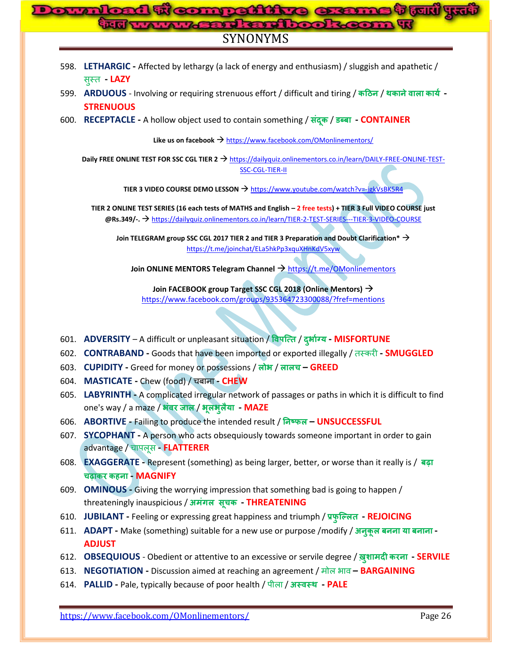# 1 **weampattine exame tow** y<del>w</del> **Assident Look** SYNONYMS

- 598. **LETHARGIC -** Affected by lethargy (a lack of energy and enthusiasm) / sluggish and apathetic / स स्त **- LAZY**
- 599. ARDUOUS Involving or requiring strenuous effort / difficult and tiring / कठिन / थकाने वाला कार्य -**STRENUOUS**
- 600. **RECEPTACLE -** A hollow object used to contain something / / **- CONTAINER**

Like us on facebook → <https://www.facebook.com/OMonlinementors/>

**Daily FREE ONLINE TEST FOR SSC CGL TIER 2 → [https://dailyquiz.onlinementors.co.in/learn/DAILY-FREE-ONLINE-TEST-](https://dailyquiz.onlinementors.co.in/learn/DAILY-FREE-ONLINE-TEST-SSC-CGL-TIER-II)**[SSC-CGL-TIER-II](https://dailyquiz.onlinementors.co.in/learn/DAILY-FREE-ONLINE-TEST-SSC-CGL-TIER-II)

**TIER 3 VIDEO COURSE DEMO LESSON** <https://www.youtube.com/watch?v=-jgkVsBK5R4>

**TIER 2 ONLINE TEST SERIES (16 each tests of MATHS and English – 2 free tests) + TIER 3 Full VIDEO COURSE just @Rs.349/-.** <https://dailyquiz.onlinementors.co.in/learn/TIER-2-TEST-SERIES---TIER-3-VIDEO-COURSE>

**Join TELEGRAM group SSC CGL 2017 TIER 2 and TIER 3 Preparation and Doubt Clarification\*** <https://t.me/joinchat/ELa5hkPp3xquXHnKdV5xyw>

Join ONLINE MENTORS Telegram Channel  $\rightarrow$  <https://t.me/OMonlinementors>

**Join FACEBOOK group Target SSC CGL 2018 (Online Mentors)** <https://www.facebook.com/groups/935364723300088/?fref=mentions>

- 601. **ADVERSITY** A difficult or unpleasant situation / / **- MISFORTUNE**
- 602. **CONTRABAND -** Goods that have been imported or exported illegally / तस्कयी **- SMUGGLED**
- 603. **CUPIDITY -** Greed for money or possessions / / **च – GREED**
- 604. **MASTICATE -** Chew (food) / चफाना **- CHEW**
- 605. **LABYRINTH -** A complicated irregular network of passages or paths in which it is difficult to find one's way / a maze / अंवर जाल / भूलभुलैया - MAZE
- 606. **ABORTIVE -** Failing to produce the intended result / **– UNSUCCESSFUL**
- 607. **SYCOPHANT -** A person who acts obsequiously towards someone important in order to gain advantage / चाऩरूस **- FLATTERER**
- 608. **EXAGGERATE -** Represent (something) as being larger, better, or worse than it really is / **च ह - MAGNIFY**
- 609. **OMINOUS -** Giving the worrying impression that something bad is going to happen / threateningly inauspicious / **च - THREATENING**
- 610. **JUBILANT -** Feeling or expressing great happiness and triumph / **- REJOICING**
- 611. **ADAPT -** Make (something) suitable for a new use or purpose /modify / **- ADJUST**
- 612. **OBSEQUIOUS** Obedient or attentive to an excessive or servile degree / **- SERVILE**
- 613. **NEGOTIATION -** Discussion aimed at reaching an agreement / भोर बाव **– BARGAINING**
- 614. **PALLID -** Pale, typically because of poor health / ऩीरा / **- PALE**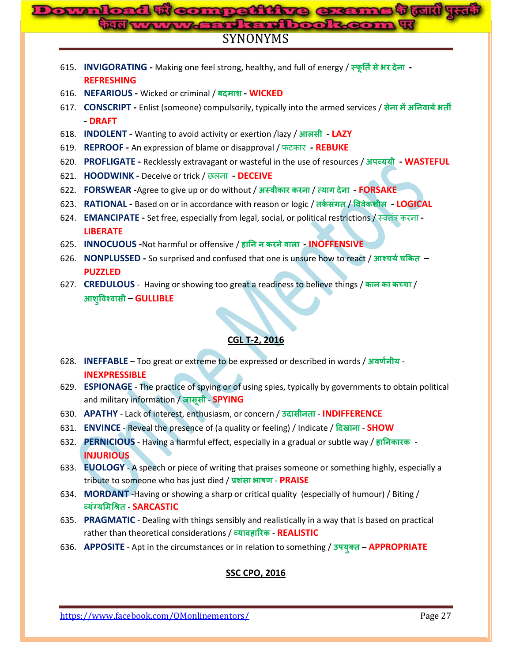#### **ne t turi 45 Download From: Contact From: Webster Amikadhoo!** SYNONYMS

- 615. **INVIGORATING -** Making one feel strong, healthy, and full of energy / **- REFRESHING**
- 616. **NEFARIOUS -** Wicked or criminal / **- WICKED**
- 617. **CONSCRIPT -** Enlist (someone) compulsorily, typically into the armed services / **- DRAFT**
- 618. **INDOLENT -** Wanting to avoid activity or exertion /lazy / **- LAZY**
- 619. **REPROOF -** An expression of blame or disapproval / पटकाय **- REBUKE**
- 620. **PROFLIGATE -** Recklessly extravagant or wasteful in the use of resources / **- WASTEFUL**
- 621. **HOODWINK -** Deceive or trick / िरना **- DECEIVE**
- 622. **FORSWEAR -**Agree to give up or do without / / **- FORSAKE**
- 623. RATIONAL Based on or in accordance with reason or logic / तर्कसंगत / विवेकशील LOGICAL
- 624. **EMANCIPATE -** Set free, especially from legal, social, or political restrictions / स्वतंत्र कयना **- LIBERATE**
- 625. **INNOCUOUS -**Not harmful or offensive / **ह - INOFFENSIVE**
- 626. **NONPLUSSED -** So surprised and confused that one is unsure how to react / **च च – PUZZLED**
- 627. **CREDULOUS** Having or showing too great a readiness to believe things / कान का कच्चा /  **– GULLIBLE**

# **CGL T-2, 2016**

- 628. **INEFFABLE** Too great or extreme to be expressed or described in words / अवर्णनीय -**INEXPRESSIBLE**
- 629. **ESPIONAGE** The practice of spying or of using spies, typically by governments to obtain political and military information / जासूसी - **SPYING**
- 630. APATHY Lack of interest, enthusiasm, or concern / उदासीनता INDIFFERENCE
- 631. **ENVINCE** Reveal the presence of (a quality or feeling) / Indicate / **SHOW**
- 632. **PERNICIOUS** Having a harmful effect, especially in a gradual or subtle way / **ह INJURIOUS**
- 633. **EUOLOGY** A speech or piece of writing that praises someone or something highly, especially a tribute to someone who has just died / प्रशंसा भाषण - **PRAISE**
- 634. **MORDANT** -Having or showing a sharp or critical quality (especially of humour) / Biting / - **SARCASTIC**
- 635. **PRAGMATIC** Dealing with things sensibly and realistically in a way that is based on practical rather than theoretical considerations / **ह** - **REALISTIC**
- 636. **APPOSITE** Apt in the circumstances or in relation to something / **APPROPRIATE**

# **SSC CPO, 2016**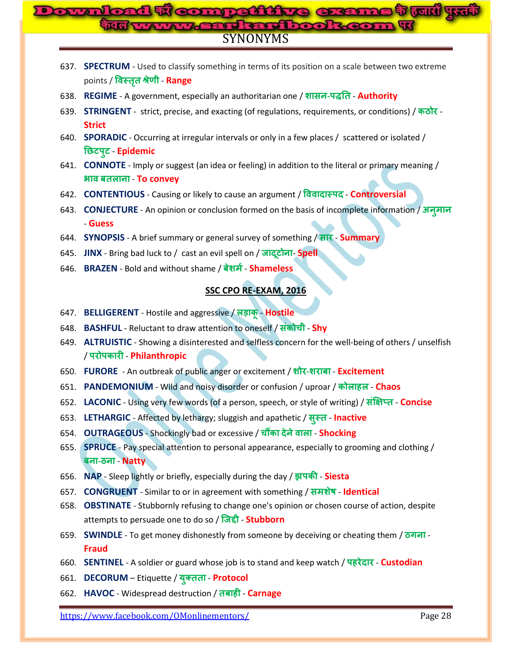# SYNONYMS **Downloaded From: www.gossc.in**

- 637. **SPECTRUM** Used to classify something in terms of its position on a scale between two extreme points / **विस्तुत श्रेणी - Range**
- 638. **REGIME** A government, especially an authoritarian one / **- Authority**
- 639. **STRINGENT** strict, precise, and exacting (of regulations, requirements, or conditions) / कठोर -**Strict**
- 640. **SPORADIC** Occurring at irregular intervals or only in a few places / scattered or isolated / <u> छिटपूट - Epidemic</u>
- 641. **CONNOTE** Imply or suggest (an idea or feeling) in addition to the literal or primary meaning / **<sup>811</sup> अग्र बतलाना - To convey**
- 642. **CONTENTIOUS** Causing or likely to cause an argument / विवादास्पद Controversial
- 643. **CONJECTURE** An opinion or conclusion formed on the basis of incomplete information / - **Guess**
- 644. **SYNOPSIS** A brief summary or general survey of something / **Summary**
- 645. **JINX** Bring bad luck to / cast an evil spell on / जादुटोना- Spell
- 646. **BRAZEN** Bold and without shame / बेशर्म Shameless

# **SSC CPO RE-EXAM, 2016**

- 647. **BELLIGERENT** Hostile and aggressive / लड़ाकू Hostile
- 648. **BASHFUL** Reluctant to draw attention to oneself / **च Shy**
- 649. **ALTRUISTIC** Showing a disinterested and selfless concern for the well-being of others / unselfish / - **Philanthropic**
- 650. **FURORE** An outbreak of public anger or excitement / **- Excitement**
- 651. **PANDEMONIUM** Wild and noisy disorder or confusion / uproar / **ह Chaos**
- 652. LACONIC Using very few words (of a person, speech, or style of writing) / संक्षिप्त Concise
- 653. LETHARGIC Affected by lethargy; sluggish and apathetic / सूस्त Inactive
- 654. **OUTRAGEOUS** Shockingly bad or excessive / चौंका देने वाला Shocking
- 655. **SPRUCE** Pay special attention to personal appearance, especially to grooming and clothing /  **-** - **Natty**
- 656. NAP Sleep lightly or briefly, especially during the day / सपकी Siesta
- 657. **CONGRUENT** Similar to or in agreement with something / समशेष Identical
- 658. **OBSTINATE** Stubbornly refusing to change one's opinion or chosen course of action, despite attempts to persuade one to do so / जिद्दी - **Stubborn**
- 659. **SWINDLE** To get money dishonestly from someone by deceiving or cheating them / ठगना -**Fraud**
- 660. **SENTINEL** A soldier or guard whose job is to stand and keep watch / **ह Custodian**
- 661. **DECORUM** Etiquette / युक्तता Protocol
- 662. **HAVOC** Widespread destruction / **ह Carnage**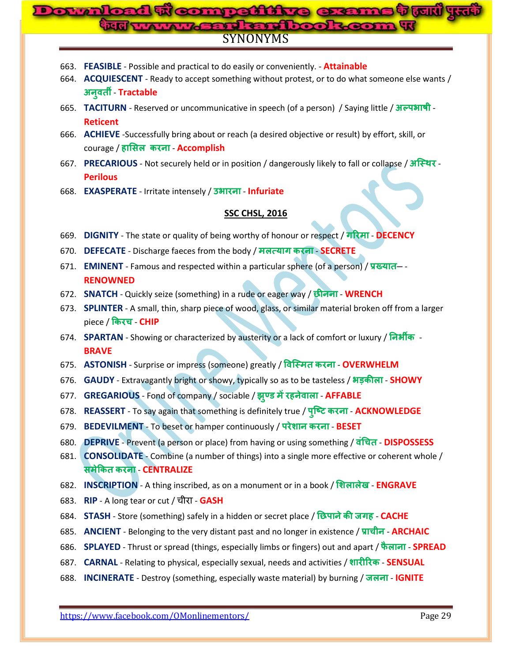# <mark>tout) yrai</mark> **Downloaded From: www.gossc.in**SYNONYMS

- 663. **FEASIBLE** Possible and practical to do easily or conveniently. **Attainable**
- 664. **ACQUIESCENT** Ready to accept something without protest, or to do what someone else wants / <u> अनुवती - Tractable</u>
- 665. **TACITURN** Reserved or uncommunicative in speech (of a person) / Saying little / अल्पभाषी -**Reticent**
- 666. **ACHIEVE** -Successfully bring about or reach (a desired objective or result) by effort, skill, or courage / **ह** - **Accomplish**
- 667. **PRECARIOUS** Not securely held or in position / dangerously likely to fall or collapse / अस्थिर -**Perilous**
- 668. **EXASPERATE** Irritate intensely / उभारना Infuriate

#### **SSC CHSL, 2016**

- 669. **DIGNITY** The state or quality of being worthy of honour or respect / गरिमा DECENCY
- 670. **DEFECATE** Discharge faeces from the body / मलत्याग करना **SECRETE**
- 671. **EMINENT** Famous and respected within a particular sphere (of a person) / प्रख्यात– -**RENOWNED**
- 672. **SNATCH** Quickly seize (something) in a rude or eager way / छीनना WRENCH
- 673. **SPLINTER** A small, thin, sharp piece of wood, glass, or similar material broken off from a larger piece / **च** - **CHIP**
- 674. **SPARTAN** Showing or characterized by austerity or a lack of comfort or luxury / निर्भीक -**BRAVE**
- 675. ASTONISH Surprise or impress (someone) greatly / विस्मित करना OVERWHELM
- 676. **GAUDY** Extravagantly bright or showy, typically so as to be tasteless / अड़कीला SHOWY
- 677. **GREGARIOUS** Fond of company / sociable / **ह AFFABLE**
- 678. **REASSERT** To say again that something is definitely true / पुष्टि करना ACKNOWLEDGE
- 679. **BEDEVILMENT** To beset or hamper continuously / परेशान करना BESET
- 680. **DEPRIVE** Prevent (a person or place) from having or using something / **च DISPOSSESS**
- 681. **CONSOLIDATE** Combine (a number of things) into a single more effective or coherent whole / - **CENTRALIZE**
- 682. **INSCRIPTION** A thing inscribed, as on a monument or in a book / शिलालेख ENGRAVE
- 683. RIP A long tear or cut / चीरा GASH
- 684. **STASH** Store (something) safely in a hidden or secret place / **ह CACHE**
- 685. **ANCIENT** Belonging to the very distant past and no longer in existence / प्राचीन **ARCHAIC**
- 686. **SPLAYED** Thrust or spread (things, especially limbs or fingers) out and apart / फैलाना **SPREAD**
- 687. **CARNAL** Relating to physical, especially sexual, needs and activities / शारीरिक SENSUAL
- 688. **INCINERATE** Destroy (something, especially waste material) by burning / जलना **IGNITE**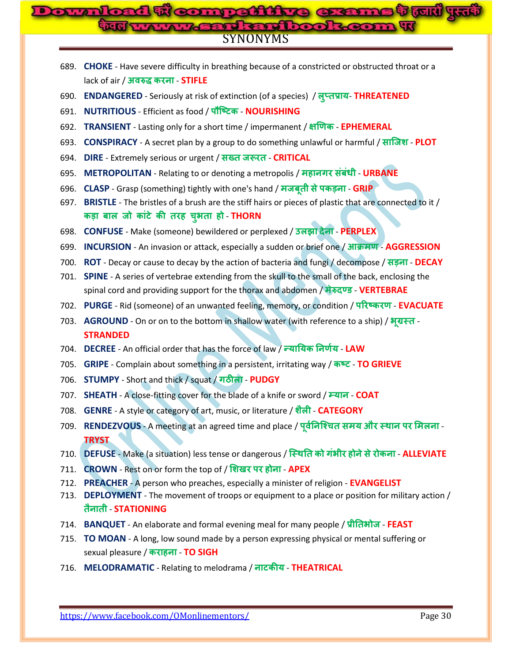# ने क्रियारों पर **Downloaded From: www.gossc.in**SYNONYMS

- 689. **CHOKE** Have severe difficulty in breathing because of a constricted or obstructed throat or a lack of air / अवरुद्ध करना - STIFLE
- 690. **ENDANGERED** Seriously at risk of extinction (of a species) / लुप्तप्राय- THREATENED
- 691. **NUTRITIOUS** Efficient as food / **NOURISHING**
- 692. **TRANSIENT** Lasting only for a short time / impermanent / **EPHEMERAL**
- 693. **CONSPIRACY** A secret plan by a group to do something unlawful or harmful / साजिश PLOT
- 694. **DIRE** Extremely serious or urgent / सख्त जरूरत CRITICAL
- 695. **METROPOLITAN** Relating to or denoting a metropolis / **ह URBANE**
- 696. **CLASP** Grasp (something) tightly with one's hand **/ मजबती से पकड़ना GRIP**
- 697. **BRISTLE** The bristles of a brush are the stiff hairs or pieces of plastic that are connected to it /  **ह च ह** - **THORN**
- 698. **CONFUSE** Make (someone) bewildered or perplexed / उलझा देना PERPLEX
- 699. **INCURSION** An invasion or attack, especially a sudden or brief one / आक्रमण AGGRESSION
- 700. **ROT** Decay or cause to decay by the action of bacteria and fungi / decompose / सड़ना DECAY
- 701. **SPINE** A series of vertebrae extending from the skull to the small of the back, enclosing the spinal cord and providing support for the thorax and abdomen / मेरुदण्ड - VERTEBRAE
- 702. PURGE Rid (someone) of an unwanted feeling, memory, or condition / परिष्करण EVACUATE
- 703. **AGROUND** On or on to the bottom in shallow water (with reference to a ship) / भूग्रस्त -**STRANDED**
- 704. **DECREE** An official order that has the force of law / **LAW**
- 705. **GRIPE** Complain about something in a persistent, irritating way / कष्ट TO GRIEVE
- **706. STUMPY** Short and thick / squat / गठीला PUDGY
- 707. **SHEATH** A close-fitting cover for the blade of a knife or sword / **COAT**
- 708. **GENRE** A style or category of art, music, or literature / शैली **CATEGORY**
- 709. RENDEZVOUS A meeting at an agreed time and place / पूर्वनिश्चित समय और स्थान पर मिलना -**TRYST**
- 710. **DEFUSE** Make (a situation) less tense or dangerous / **ह ALLEVIATE**
- 711. **CROWN** Rest on or form the top of / **ह APEX**
- 712. **PREACHER** A person who preaches, especially a minister of religion **EVANGELIST**
- 713. **DEPLOYMENT** The movement of troops or equipment to a place or position for military action / - **STATIONING**
- 714. **BANQUET** An elaborate and formal evening meal for many people / **FEAST**
- 715. **TO MOAN** A long, low sound made by a person expressing physical or mental suffering or sexual pleasure / **ह** - **TO SIGH**
- 716. MELODRAMATIC Relating to melodrama / नाटकीय THEATRICAL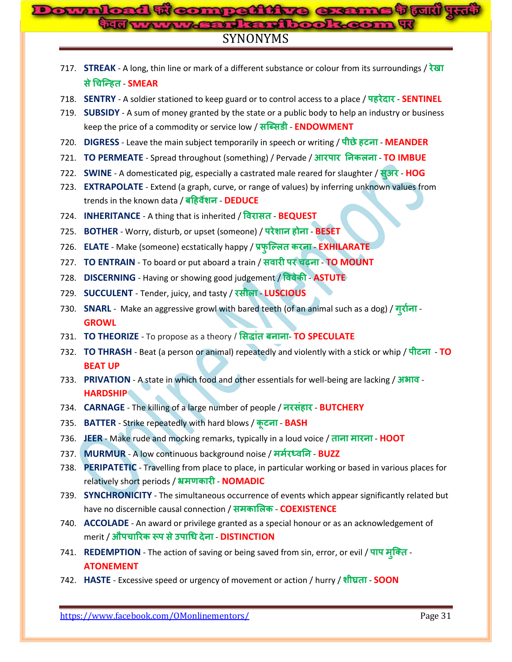# **Weompattine exerns to July yu Ford Results on Page** SYNONYMS

| 717. <b>STREAK</b> - A long, thin line or mark of a different substance or colour from its surroundings / $\frac{1}{2}$ |
|-------------------------------------------------------------------------------------------------------------------------|
| से चिन्हित - SMEAR                                                                                                      |

- 718. **SENTRY** A soldier stationed to keep guard or to control access to a place / **ह SENTINEL**
- 719. **SUBSIDY** A sum of money granted by the state or a public body to help an industry or business keep the price of a commodity or service low / सब्सिडी - **ENDOWMENT**
- 720. **DIGRESS** Leave the main subject temporarily in speech or writing / पीछे हटना MEANDER
- 721. **TO PERMEATE** Spread throughout (something) / Pervade / **TO IMBUE**
- 722. **SWINE** A domesticated pig, especially a castrated male reared for slaughter / सूअर HOG
- 723. **EXTRAPOLATE** Extend (a graph, curve, or range of values) by inferring unknown values from trends in the known data / **ह** - **DEDUCE**
- 724. **INHERITANCE** A thing that is inherited / विरासत **BEQUEST**
- 725. **BOTHER** Worry, disturb, or upset (someone) / **ह BESET**
- 726. **ELATE** Make (someone) ecstatically happy / प्रफुल्लित करना EXHILARATE
- 727. **TO ENTRAIN** To board or put aboard a train / **च TO MOUNT**
- 728. **DISCERNING** Having or showing good judgement / विवेकी ASTUTE
- 729. **SUCCULENT** Tender, juicy, and tasty / रसीला LUSCIOUS
- 730. **SNARL** Make an aggressive growl with bared teeth (of an animal such as a dog) / ग्रीना -**GROWL**
- 731. TO THEORIZE To propose as a theory / सिद्धांत बनाना- TO SPECULATE
- 732. **TO THRASH** Beat (a person or animal) repeatedly and violently with a stick or whip / पीटना TO **BEAT UP**
- 733. PRIVATION A state in which food and other essentials for well-being are lacking / 378114 -**HARDSHIP**
- 734. **CARNAGE** The killing of a large number of people / **ह BUTCHERY**
- 735. **BATTER** Strike repeatedly with hard blows / कूटना BASH
- 736. **JEER** Make rude and mocking remarks, typically in a loud voice / ताना मारना HOOT
- 737. **MURMUR** A low continuous background noise / मर्मरध्वनि BUZZ
- 738. **PERIPATETIC** Travelling from place to place, in particular working or based in various places for **relatively short periods / भ्रमणकारी - NOMADIC**
- 739. **SYNCHRONICITY** The simultaneous occurrence of events which appear significantly related but have no discernible causal connection / समकालिक - **COEXISTENCE**
- 740. **ACCOLADE** An award or privilege granted as a special honour or as an acknowledgement of merit / औपचारिक रूप से उपाधि देना - **DISTINCTION**
- 741. **REDEMPTION** The action of saving or being saved from sin, error, or evil / पाप मुक्ति -**ATONEMENT**
- 742. HASTE Excessive speed or urgency of movement or action / hurry / शीघ्रता SOON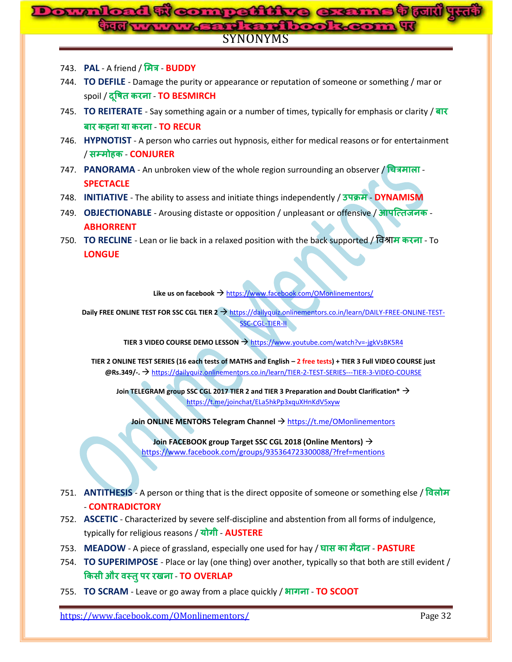# SYNONYMS **Downloaded From: www.gossc.in**

- 743. **PAL** A friend / **BUDDY**
- 744. **TO DEFILE**  Damage the purity or appearance or reputation of someone or something / mar or spoil / दुषित करना - TO BESMIRCH
- 745. **TO REITERATE**  Say something again or a number of times, typically for emphasis or clarity / <u>बार कहना या करना - TO RECUR</u>
- 746. **HYPNOTIST** A person who carries out hypnosis, either for medical reasons or for entertainment / **ह** - **CONJURER**
- 747. **PANORAMA** An unbroken view of the whole region surrounding an observer / **च SPECTACLE**
- 748. **INITIATIVE** The ability to assess and initiate things independently / उपक्रम DYNAMISM
- 749. **OBJECTIONABLE** Arousing distaste or opposition / unpleasant or offensive / आपत्तिजनक -**ABHORRENT**
- 750. **TO RECLINE** Lean or lie back in a relaxed position with the back supported / विश्राम करना To **LONGUE**

Like us on facebook → <https://www.facebook.com/OMonlinementors/>

**Daily FREE ONLINE TEST FOR SSC CGL TIER 2 > [https://dailyquiz.onlinementors.co.in/learn/DAILY-FREE-ONLINE-TEST-](https://dailyquiz.onlinementors.co.in/learn/DAILY-FREE-ONLINE-TEST-SSC-CGL-TIER-II)**[SSC-CGL-TIER-II](https://dailyquiz.onlinementors.co.in/learn/DAILY-FREE-ONLINE-TEST-SSC-CGL-TIER-II)

**TIER 3 VIDEO COURSE DEMO LESSON** <https://www.youtube.com/watch?v=-jgkVsBK5R4>

**TIER 2 ONLINE TEST SERIES (16 each tests of MATHS and English – 2 free tests) + TIER 3 Full VIDEO COURSE just @Rs.349/-.** <https://dailyquiz.onlinementors.co.in/learn/TIER-2-TEST-SERIES---TIER-3-VIDEO-COURSE>

**Join TELEGRAM group SSC CGL 2017 TIER 2 and TIER 3 Preparation and Doubt Clarification\*** <https://t.me/joinchat/ELa5hkPp3xquXHnKdV5xyw>

**Join ONLINE MENTORS Telegram Channel** → <https://t.me/OMonlinementors>

**Join FACEBOOK group Target SSC CGL 2018 (Online Mentors)** <https://www.facebook.com/groups/935364723300088/?fref=mentions>

- 751. **ANTITHESIS** A person or thing that is the direct opposite of someone or something else / - **CONTRADICTORY**
- 752. **ASCETIC** Characterized by severe self-discipline and abstention from all forms of indulgence, typically for religious reasons / योगी - **AUSTERE**
- 753. MEADOW A piece of grassland, especially one used for hay / घास का मैदान PASTURE
- 754. **TO SUPERIMPOSE**  Place or lay (one thing) over another, typically so that both are still evident / <u> किसी और वस्तु पर रखना - TO OVERLAP</u>
- 755. **TO SCRAM**  Leave or go away from a place quickly / **TO SCOOT**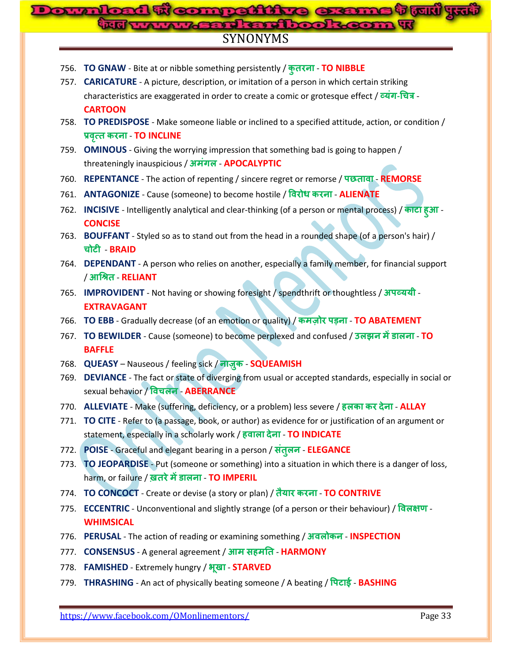#### **me trud** y. **Downloaded From: www.gossc.inLead and book** SYNONYMS

- 756. **TO GNAW** Bite at or nibble something persistently / कुतरना TO NIBBLE
- 757. **CARICATURE** A picture, description, or imitation of a person in which certain striking characteristics are exaggerated in order to create a comic or grotesque effect / व्यंग-चित्र -**CARTOON**
- 758. **TO PREDISPOSE**  Make someone liable or inclined to a specified attitude, action, or condition / प्रवृत्त करना - TO INCLINE
- 759. **OMINOUS** Giving the worrying impression that something bad is going to happen / threateningly inauspicious / अमंगल - **APOCALYPTIC**
- 760. REPENTANCE The action of repenting / sincere regret or remorse / पछतावा REMORSE
- 761. **ANTAGONIZE** Cause (someone) to become hostile / **ALIENATE**
- 762. **INCISIVE**  Intelligently analytical and clear-thinking (of a person or mental process) / **ह CONCISE**
- 763. **BOUFFANT** Styled so as to stand out from the head in a rounded shape (of a person's hair) / <u>चोटी - BRAID</u>
- 764. **DEPENDANT** A person who relies on another, especially a family member, for financial support <u>/ आश्रित - RELIANT</u>
- 765. **IMPROVIDENT** Not having or showing foresight / spendthrift or thoughtless / अपव्ययी -**EXTRAVAGANT**
- 766. **TO EBB** Gradually decrease (of an emotion or quality) / कमज़ोर पड़ना TO ABATEMENT
- 767. **TO BEWILDER** Cause (someone) to become perplexed and confused / **TO BAFFLE**
- 768. **QUEASY** Nauseous / feeling sick / नाज़ुक SQUEAMISH
- 769. **DEVIANCE** The fact or state of diverging from usual or accepted standards, especially in social or sexual behavior / **च** - **ABERRANCE**
- 770. **ALLEVIATE** Make (suffering, deficiency, or a problem) less severe / **ह ALLAY**
- 771. **TO CITE** Refer to (a passage, book, or author) as evidence for or justification of an argument or statement, especially in a scholarly work / हवाला देना - TO INDICATE
- 772. **POISE** Graceful and elegant bearing in a person / संतुलन **ELEGANCE**
- 773. **TO JEOPARDISE** Put (someone or something) into a situation in which there is a danger of loss, harm, or failure / **ख़तरे में डालना - TO IMPERIL**
- 774. **TO CONCOCT** Create or devise (a story or plan) / तैयार करना TO CONTRIVE
- 775. **ECCENTRIC** Unconventional and slightly strange (of a person or their behaviour) / विलक्षण -**WHIMSICAL**
- 776. **PERUSAL** The action of reading or examining something / **INSPECTION**
- 777. **CONSENSUS** A general agreement / **ह HARMONY**
- 778. **FAMISHED** Extremely hungry / अ़खा STARVED
- 779. **THRASHING** An act of physically beating someone / A beating / पिटाई **BASHING**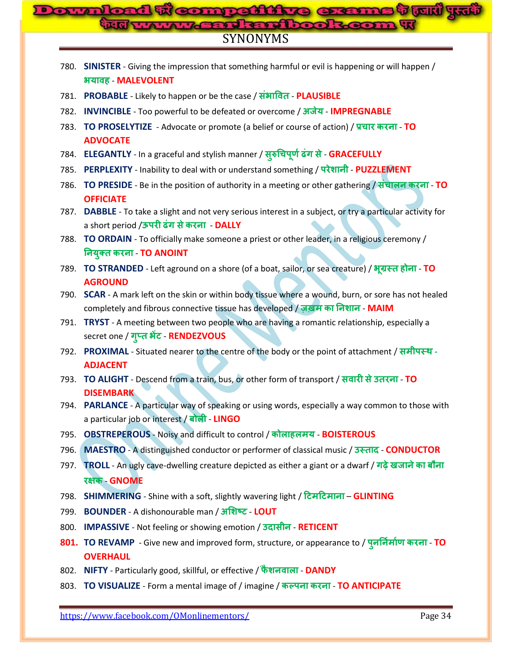# SYNONYMS **Compatistre** G

|      | 780. SINISTER - Giving the impression that something harmful or evil is happening or will happen /<br>अयावह - MALEVOLENT                     |
|------|----------------------------------------------------------------------------------------------------------------------------------------------|
|      | 781. PROBABLE - Likely to happen or be the case / संभावित - PLAUSIBLE                                                                        |
|      | 782. INVINCIBLE - Too powerful to be defeated or overcome / अजेय - IMPREGNABLE                                                               |
|      | 783. TO PROSELYTIZE - Advocate or promote (a belief or course of action) / प्रचार करना - TO                                                  |
|      | <b>ADVOCATE</b>                                                                                                                              |
|      | 784. ELEGANTLY - In a graceful and stylish manner / सुरुचिपूर्ण ढंग से - GRACEFULLY                                                          |
|      | 785. PERPLEXITY - Inability to deal with or understand something / परेशानी - PUZZLEMENT                                                      |
| 786. | TO PRESIDE - Be in the position of authority in a meeting or other gathering / संचालन करना - TO                                              |
|      | <b>OFFICIATE</b>                                                                                                                             |
|      | 787. DABBLE - To take a slight and not very serious interest in a subject, or try a particular activity for                                  |
|      | a short period /ऊपरी ढंग से करना - DALLY                                                                                                     |
| 788. | TO ORDAIN - To officially make someone a priest or other leader, in a religious ceremony /<br>नियुक्त करना - TO ANOINT                       |
|      |                                                                                                                                              |
|      | 789. TO STRANDED - Left aground on a shore (of a boat, sailor, or sea creature) / भूग्रस्त होना - TO<br><b>AGROUND</b>                       |
|      | 790. SCAR - A mark left on the skin or within body tissue where a wound, burn, or sore has not healed                                        |
|      | completely and fibrous connective tissue has developed / ज़ख़म का निशान - MAIM                                                               |
|      | 791. TRYST - A meeting between two people who are having a romantic relationship, especially a                                               |
|      | secret one / गुप्त भेंट - RENDEZVOUS                                                                                                         |
|      | 792. PROXIMAL - Situated nearer to the centre of the body or the point of attachment / समीपस्थ -                                             |
|      | <b>ADJACENT</b>                                                                                                                              |
|      | 793. TO ALIGHT - Descend from a train, bus, or other form of transport / सवारी से उतरना - TO                                                 |
|      | <b>DISEMBARK</b>                                                                                                                             |
| 794. | PARLANCE - A particular way of speaking or using words, especially a way common to those with<br>a particular job or interest / बोली - LINGO |
|      | <b>OBSTREPEROUS - Noisy and difficult to control / कोलाहलमय - BOISTEROUS</b>                                                                 |
| 795. |                                                                                                                                              |
| 796. | MAESTRO - A distinguished conductor or performer of classical music / उस्ताद - CONDUCTOR                                                     |
|      | 797. TROLL - An ugly cave-dwelling creature depicted as either a giant or a dwarf / गढ़े खजाने का बौना                                       |
|      | रक्षक - GNOME                                                                                                                                |
| 798. | SHIMMERING - Shine with a soft, slightly wavering light / टिमटिमाना - GLINTING                                                               |
| 799. | <b>BOUNDER</b> - A dishonourable man / अशिष्ट - LOUT                                                                                         |
| 800. | <b>IMPASSIVE</b> - Not feeling or showing emotion / <b>उदासीन - RETICENT</b>                                                                 |
|      | 801. TO REVAMP - Give new and improved form, structure, or appearance to / पुनर्निर्माण करना - TO                                            |
|      | <b>OVERHAUL</b>                                                                                                                              |
| 802. | NIFTY - Particularly good, skillful, or effective / फैशनवाला - DANDY                                                                         |
| 803. | TO VISUALIZE - Form a mental image of / imagine / कल्पना करना - TO ANTICIPATE                                                                |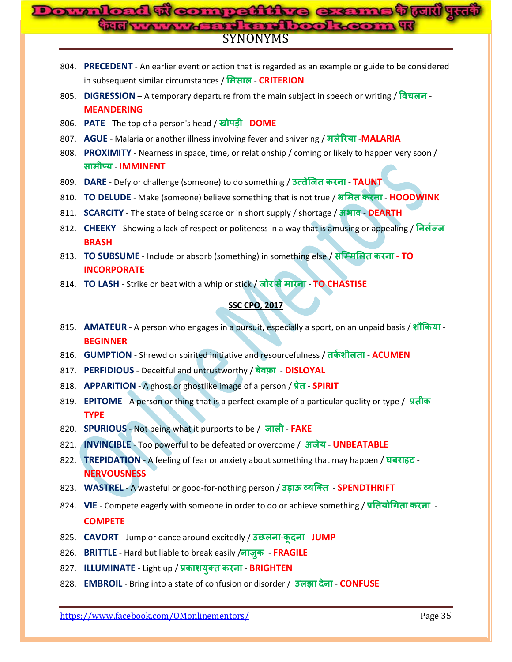# SYNONYMS **Downloaded From: www.gossc.in**

- 804. **PRECEDENT** An earlier event or action that is regarded as an example or guide to be considered in subsequent similar circumstances / मिसाल - **CRITERION**
- 805. **DIGRESSION** A temporary departure from the main subject in speech or writing / विचलन -**MEANDERING**
- 806. **PATE** The top of a person's head / खोपड़ी **DOME**
- 807. AGUE Malaria or another illness involving fever and shivering / मलेरिया -MALARIA
- 808. **PROXIMITY** Nearness in space, time, or relationship / coming or likely to happen very soon / - **IMMINENT**
- 809. **DARE** Defy or challenge (someone) to do something / उत्तेजित करना TAUNT
- 810. **TO DELUDE** Make (someone) believe something that is not true / अमित करना HOODWINK
- 811. **SCARCITY** The state of being scarce or in short supply / shortage / अभाव DEARTH
- 812. CHEEKY Showing a lack of respect or politeness in a way that is amusing or appealing / निर्लेज्ज **BRASH**
- 813. **TO SUBSUME** Include or absorb (something) in something else / **- TO INCORPORATE**
- 814. **TO LASH** Strike or beat with a whip or stick / जोर से मारना **TO CHASTISE**

#### **SSC CPO, 2017**

- 815. AMATEUR A person who engages in a pursuit, especially a sport, on an unpaid basis / शौकिया -**BEGINNER**
- 816. **GUMPTION** Shrewd or spirited initiative and resourcefulness / तर्कशीलता ACUMEN
- 817. **PERFIDIOUS** Deceitful and untrustworthy / बेवफ़ा DISLOYAL
- 818. APPARITION A ghost or ghostlike image of a person / प्रेत **SPIRIT**
- 819. **EPITOME** A person or thing that is a perfect example of a particular quality or type / **TYPE**
- 820. **SPURIOUS** Not being what it purports to be / **FAKE**
- 821. **INVINCIBLE** Too powerful to be defeated or overcome / **UNBEATABLE**
- 822. **TREPIDATION** A feeling of fear or anxiety about something that may happen / **ह NERVOUSNESS**
- 823. WASTREL A wasteful or good-for-nothing person / उड़ाऊ व्यक्ति **SPENDTHRIFT**
- 824. VIE Compete eagerly with someone in order to do or achieve something / प्रतियोगिता करना -**COMPETE**
- 825. **CAVORT** Jump or dance around excitedly / **- JUMP**
- 826. **BRITTLE** Hard but liable to break easily /नाज़ुक FRAGILE
- 827. **ILLUMINATE** Light up / प्रकाशयुक्त करना BRIGHTEN
- 828. **EMBROIL** Bring into a state of confusion or disorder / उलझा देना CONFUSE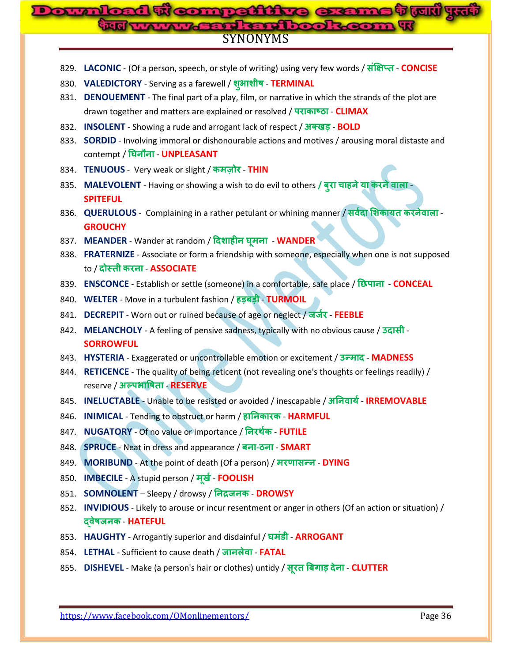# SYNONYMS **competitive exams that yut**

- 829. LACONIC (Of a person, speech, or style of writing) using very few words / संक्षिप्त CONCISE
- 830. VALEDICTORY Serving as a farewell / शुभाशीष TERMINAL
- 831. **DENOUEMENT**  The final part of a play, film, or narrative in which the strands of the plot are drawn together and matters are explained or resolved / पराकाष्ठा - CLIMAX
- 832. **INSOLENT** Showing a rude and arrogant lack of respect /  $\overline{31}$   $\overline{44}$  $\overline{45}$  **BOLD**
- 833. **SORDID** Involving immoral or dishonourable actions and motives / arousing moral distaste and contempt / घिनौना - **UNPLEASANT**
- 834. **TENUOUS** Very weak or slight / **THIN**
- 835. **MALEVOLENT** Having or showing a wish to do evil to others **/ च ह SPITEFUL**
- 836. **QUERULOUS** Complaining in a rather petulant or whining manner / सर्वदा शिकायत करनेवाला -**GROUCHY**
- 837. MEANDER Wander at random / दिशाहीन घूमना WANDER
- 838. **FRATERNIZE** Associate or form a friendship with someone, especially when one is not supposed to / **दोस्ती करना - ASSOCIATE**
- 839. **ENSCONCE** Establish or settle (someone) in a comfortable, safe place / रिप्राना **CONCEAL**
- 840. **WELTER** Move in a turbulent fashion / हड़बड़ी TURMOIL
- 841. **DECREPIT** Worn out or ruined because of age or neglect / जज़ेर FEEBLE
- 842. **MELANCHOLY** A feeling of pensive sadness, typically with no obvious cause / **उदासी** -**SORROWFUL**
- 843. HYSTERIA Exaggerated or uncontrollable emotion or excitement / 3<sup>-HI</sup>G MADNESS
- 844. **RETICENCE** The quality of being reticent (not revealing one's thoughts or feelings readily) / reserve / अल्प**भाषिता - RESERVE**
- 845. **INELUCTABLE** Unable to be resisted or avoided / inescapable / अनिवार्य **IRREMOVABLE**
- 846. **INIMICAL** Tending to obstruct or harm / हानिकारक HARMFUL
- 847. **NUGATORY** Of no value or importance / निरर्थक **FUTILE**
- 848. **SPRUCE** Neat in dress and appearance / बना-ठना **SMART**
- 849. **MORIBUND** At the point of death (Of a person) / मरणासन्न DYING
- 850. **IMBECILE** A stupid person / **FOOLISH**
- 851. **SOMNOLENT** Sleepy / drowsy / निद्रजनक **DROWSY**
- 852. **INVIDIOUS** Likely to arouse or incur resentment or anger in others (Of an action or situation) / - **HATEFUL**
- 853. HAUGHTY Arrogantly superior and disdainful / घमंडी ARROGANT
- 854. LETHAL Sufficient to cause death / जानलेवा FATAL
- 855. **DISHEVEL** Make (a person's hair or clothes) untidy / सूरत बिगाड़ देना CLUTTER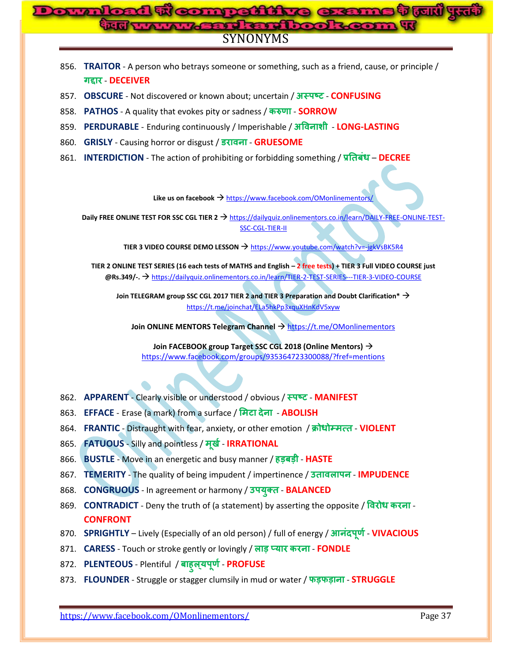

- 856. **TRAITOR** A person who betrays someone or something, such as a friend, cause, or principle / *a***<sup>E</sup>REP - DECEIVER**
- 857. **OBSCURE** Not discovered or known about; uncertain / अस्पष्ट CONFUSING
- 858. **PATHOS** A quality that evokes pity or sadness / करुणा **SORROW**
- 859. **PERDURABLE** Enduring continuously / Imperishable / अविनाशी LONG-LASTING
- 860. **GRISLY** Causing horror or disgust / उरावना GRUESOME
- 861. **INTERDICTION** The action of prohibiting or forbidding something / प्रतिबंध DECREE

Like us on facebook  $\rightarrow$  <https://www.facebook.com/OMonlinementors/>

**Daily FREE ONLINE TEST FOR SSC CGL TIER 2 → [https://dailyquiz.onlinementors.co.in/learn/DAILY-FREE-ONLINE-TEST-](https://dailyquiz.onlinementors.co.in/learn/DAILY-FREE-ONLINE-TEST-SSC-CGL-TIER-II)**[SSC-CGL-TIER-II](https://dailyquiz.onlinementors.co.in/learn/DAILY-FREE-ONLINE-TEST-SSC-CGL-TIER-II)

**TIER 3 VIDEO COURSE DEMO LESSON** <https://www.youtube.com/watch?v=-jgkVsBK5R4>

**TIER 2 ONLINE TEST SERIES (16 each tests of MATHS and English – 2 free tests) + TIER 3 Full VIDEO COURSE just @Rs.349/-.** <https://dailyquiz.onlinementors.co.in/learn/TIER-2-TEST-SERIES---TIER-3-VIDEO-COURSE>

**Join TELEGRAM group SSC CGL 2017 TIER 2 and TIER 3 Preparation and Doubt Clarification\*** <https://t.me/joinchat/ELa5hkPp3xquXHnKdV5xyw>

**Join ONLINE MENTORS Telegram Channel**  $\rightarrow$  **<https://t.me/OMonlinementors>** 

**Join FACEBOOK group Target SSC CGL 2018 (Online Mentors)** <https://www.facebook.com/groups/935364723300088/?fref=mentions>

- 862. **APPARENT** Clearly visible or understood / obvious /  $\overline{\text{C}}$   **MANIFEST**
- 863. **EFFACE** Erase (a mark) from a surface / मिटा देना ABOLISH
- 864. **FRANTIC** Distraught with fear, anxiety, or other emotion / क्रोधोम्मत्त VIOLENT
- 865. **FATUOUS** Silly and pointless / मूर्ख **IRRATIONAL**
- 866. **BUSTLE** Move in an energetic and busy manner / हड़बड़ी HASTE
- 867. **TEMERITY** The quality of being impudent / impertinence / उत्तावलापन **IMPUDENCE**
- 868. **CONGRUOUS** In agreement or harmony / उपयुक्त BALANCED
- 869. **CONTRADICT** Deny the truth of (a statement) by asserting the opposite / विरोध करना -**CONFRONT**
- 870. **SPRIGHTLY** Lively (Especially of an old person) / full of energy / आनंदपूर्ण VIVACIOUS
- 871. **CARESS** Touch or stroke gently or lovingly / लाड़ प्यार करना FONDLE
- 872. **PLENTEOUS** Plentiful / **ह PROFUSE**
- 873. **FLOUNDER** Struggle or stagger clumsily in mud or water / फड़फड़ाना **STRUGGLE**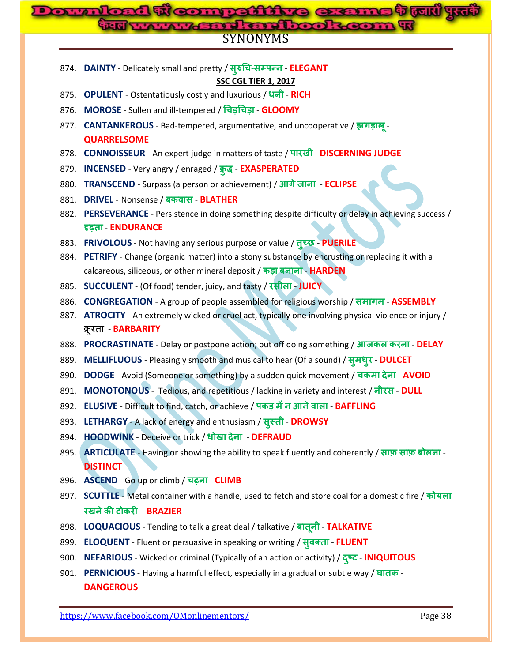# SYNONYMS **Downloaded From: www.gossc.in**

| 874. DAINTY - Delicately small and pretty / सुरुचि-सम्पन्न - ELEGANT |  |
|----------------------------------------------------------------------|--|
|                                                                      |  |

**SSC CGL TIER 1, 2017**

- 875. **OPULENT** Ostentatiously costly and luxurious / धनी RICH
- 876. **MOROSE** Sullen and ill-tempered / **च च GLOOMY**
- 877. **CANTANKEROUS** Bad-tempered, argumentative, and uncooperative / झगड़ालू -**QUARRELSOME**
- 878. **CONNOISSEUR** An expert judge in matters of taste / पारखी DISCERNING JUDGE
- 879. **INCENSED** Very angry / enraged / क्रुद्ध **EXASPERATED**
- 880. **TRANSCEND** Surpass (a person or achievement) / आगे जाना ECLIPSE
- 881. **DRIVEL** Nonsense / बकवास BLATHER
- 882. PERSEVERANCE Persistence in doing something despite difficulty or delay in achieving success / - **ENDURANCE**
- 883. FRIVOLOUS Not having any serious purpose or value / तूच्छ PUERILE
- 884. **PETRIFY** Change (organic matter) into a stony substance by encrusting or replacing it with a calcareous, siliceous, or other mineral deposit / कड़ा बनाना - HARDEN
- 885. **SUCCULENT** (Of food) tender, juicy, and tasty / रसीला JUICY
- 886. **CONGREGATION** A group of people assembled for religious worship / **ASSEMBLY**
- 887. **ATROCITY** An extremely wicked or cruel act, typically one involving physical violence or injury / क्रूरता - **BARBARITY**
- 888. PROCRASTINATE Delay or postpone action; put off doing something / आजकल करना DELAY
- 889. MELLIFLUOUS Pleasingly smooth and musical to hear (Of a sound) / सूमधूर DULCET
- 890. **DODGE** Avoid (Someone or something) by a sudden quick movement / चकमा देना AVOID
- 891. **MONOTONOUS** Tedious, and repetitious / lacking in variety and interest / नीरस DULL
- 892. **ELUSIVE** Difficult to find, catch, or achieve / पकड़ में न आने वाला BAFFLING
- 893. LETHARGY A lack of energy and enthusiasm / सुस्ती DROWSY
- 894. **HOODWINK** Deceive or trick / धोखा देना **DEFRAUD**
- 895. **ARTICULATE** Having or showing the ability to speak fluently and coherently / साफ़ साफ़ बोलना -**DISTINCT**
- 896. ASCEND Go up or climb / चढ़ना CLIMB
- 897. **SCUTTLE** Metal container with a handle, used to fetch and store coal for a domestic fire / कोयला - **BRAZIER**
- 898. LOQUACIOUS Tending to talk a great deal / talkative / बातूनी TALKATIVE
- 899. **ELOQUENT** Fluent or persuasive in speaking or writing / स्वक्ता FLUENT
- 900. **NEFARIOUS** Wicked or criminal (Typically of an action or activity) / **INIQUITOUS**
- 901. **PERNICIOUS** Having a harmful effect, especially in a gradual or subtle way / **DANGEROUS**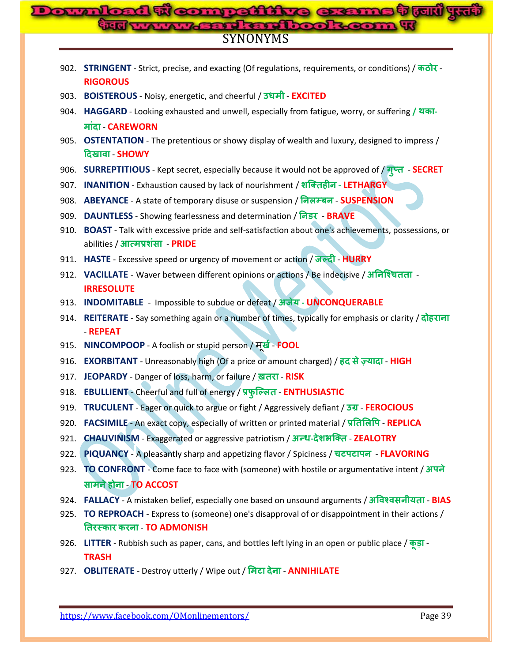# SYNONYMS **Compattitive CE**

|      | 902. STRINGENT - Strict, precise, and exacting (Of regulations, requirements, or conditions) / कठोर -<br><b>RIGOROUS</b> |
|------|--------------------------------------------------------------------------------------------------------------------------|
|      | 903. BOISTEROUS - Noisy, energetic, and cheerful / उधमी - EXCITED                                                        |
|      | 904. HAGGARD - Looking exhausted and unwell, especially from fatigue, worry, or suffering / थका-                         |
|      | मांदा - CAREWORN                                                                                                         |
|      | 905. OSTENTATION - The pretentious or showy display of wealth and luxury, designed to impress /<br>दिखावा - SHOWY        |
|      | 906. SURREPTITIOUS - Kept secret, especially because it would not be approved of / गुप्त - SECRET                        |
|      | 907. INANITION - Exhaustion caused by lack of nourishment / शक्तिहीन - LETHARGY                                          |
|      | 908. ABEYANCE - A state of temporary disuse or suspension / निलम्बन - SUSPENSION                                         |
|      | 909. DAUNTLESS - Showing fearlessness and determination / निडर - BRAVE                                                   |
|      | 910. BOAST - Talk with excessive pride and self-satisfaction about one's achievements, possessions, or                   |
|      | abilities / आत्मप्रशंसा - PRIDE                                                                                          |
|      | 911. HASTE - Excessive speed or urgency of movement or action / जल्दी - HURRY                                            |
|      | 912. VACILLATE - Waver between different opinions or actions / Be indecisive / अनिश्चितता -                              |
|      | <b>IRRESOLUTE</b>                                                                                                        |
|      | 913. INDOMITABLE - Impossible to subdue or defeat / अजेय - UNCONQUERABLE                                                 |
|      | 914. REITERATE - Say something again or a number of times, typically for emphasis or clarity / दोहराना                   |
|      | - REPEAT<br>915. NINCOMPOOP - A foolish or stupid person / मूर्ख - FOOL                                                  |
|      | 916. EXORBITANT - Unreasonably high (Of a price or amount charged) / हद से ज़्यादा - HIGH                                |
|      | 917. JEOPARDY - Danger of loss, harm, or failure / ख़तरा - RISK                                                          |
|      | 918. EBULLIENT - Cheerful and full of energy / प्रफुल्लित - ENTHUSIASTIC                                                 |
|      | 919. TRUCULENT - Eager or quick to argue or fight / Aggressively defiant / 34 - FEROCIOUS                                |
|      | 920. <b>FACSIMILE</b> - An exact copy, especially of written or printed material / प्रतिलिपि - REPLICA                   |
| 921. | CHAUVINISM - Exaggerated or aggressive patriotism / अन्ध-देशभक्ति - ZEALOTRY                                             |
| 922. | PIQUANCY - A pleasantly sharp and appetizing flavor / Spiciness / चटपटापन - FLAVORING                                    |
| 923. | TO CONFRONT - Come face to face with (someone) with hostile or argumentative intent / अपने                               |
|      | सामने होना - TO ACCOST                                                                                                   |
| 924. | FALLACY - A mistaken belief, especially one based on unsound arguments / अविश्वसनीयता - BIAS                             |
| 925. | TO REPROACH - Express to (someone) one's disapproval of or disappointment in their actions /                             |
|      | तिरस्कार करना - TO ADMONISH                                                                                              |
| 926. | LITTER - Rubbish such as paper, cans, and bottles left lying in an open or public place / $\frac{1}{2}$ .                |
|      | <b>TRASH</b>                                                                                                             |
| 927. | <b>OBLITERATE</b> - Destroy utterly / Wipe out / मिटा देना - <b>ANNIHILATE</b>                                           |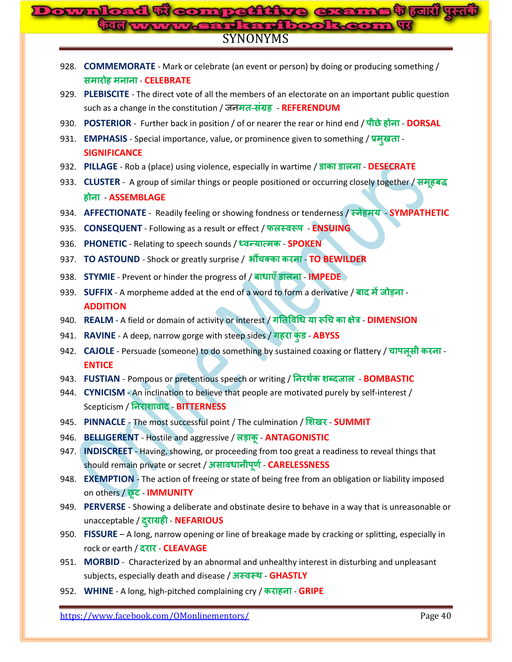# SYNONYMS **Downloaded From: www.gossc.in**

|      | 928. COMMEMORATE - Mark or celebrate (an event or person) by doing or producing something /            |
|------|--------------------------------------------------------------------------------------------------------|
|      | समारोह मनाना - CELEBRATE                                                                               |
|      | 929. PLEBISCITE - The direct vote of all the members of an electorate on an important public question  |
|      | such as a change in the constitution / जनमत-संग्रह - REFERENDUM                                        |
|      | 930. POSTERIOR - Further back in position / of or nearer the rear or hind end / पीछे होना - DORSAL     |
|      | 931. EMPHASIS - Special importance, value, or prominence given to something / प्रमुखता -               |
|      | <b>SIGNIFICANCE</b>                                                                                    |
|      | 932. PILLAGE - Rob a (place) using violence, especially in wartime / डाका डालना - DESECRATE            |
|      | 933. CLUSTER - A group of similar things or people positioned or occurring closely together / समूहबद्ध |
|      | होना - ASSEMBLAGE                                                                                      |
|      | 934. AFFECTIONATE - Readily feeling or showing fondness or tenderness / स्नेहमय - SYMPATHETIC          |
| 935. | <b>CONSEQUENT</b> - Following as a result or effect / फलस्वरूप - <b>ENSUING</b>                        |
|      | 936. PHONETIC - Relating to speech sounds / ध्वन्यात्मक - SPOKEN                                       |
| 937. | TO ASTOUND - Shock or greatly surprise / औंचक्का करना - TO BEWILDER                                    |
|      | 938. STYMIE - Prevent or hinder the progress of / बाधाएँ डालना - IMPEDE                                |
|      | 939. SUFFIX - A morpheme added at the end of a word to form a derivative / बाद में जोड़ना -            |
|      | <b>ADDITION</b>                                                                                        |
|      | 940. REALM - A field or domain of activity or interest / गतिविधि या रूचि का क्षेत्र - DIMENSION        |
|      | 941. RAVINE - A deep, narrow gorge with steep sides / गहरा कुंड - ABYSS                                |
|      | 942. CAJOLE - Persuade (someone) to do something by sustained coaxing or flattery / चापलूसी करना -     |
|      | <b>ENTICE</b>                                                                                          |
|      | 943. FUSTIAN - Pompous or pretentious speech or writing / निरर्थक शब्दजाल - BOMBASTIC                  |
| 944. | CYNICISM - An inclination to believe that people are motivated purely by self-interest /               |
|      | Scepticism / निराशावाद - BITTERNESS                                                                    |
|      | 945. PINNACLE - The most successful point / The culmination / शिखर - SUMMIT                            |
| 946. | BELLIGERENT - Hostile and aggressive / लड़ाकू - ANTAGONISTIC                                           |
|      | 947. INDISCREET - Having, showing, or proceeding from too great a readiness to reveal things that      |
|      | should remain private or secret / असावधानीपूर्ण - CARELESSNESS                                         |
|      | 948. EXEMPTION - The action of freeing or state of being free from an obligation or liability imposed  |
|      | on others / छूट - IMMUNITY                                                                             |
|      | 949. PERVERSE - Showing a deliberate and obstinate desire to behave in a way that is unreasonable or   |
|      | unacceptable / दुराग्रही - NEFARIOUS                                                                   |
|      | 950. FISSURE - A long, narrow opening or line of breakage made by cracking or splitting, especially in |
|      | rock or earth / दरार - CLEAVAGE                                                                        |
|      | 951. MORBID - Characterized by an abnormal and unhealthy interest in disturbing and unpleasant         |
|      | subjects, especially death and disease / अस्वस्थ - GHASTLY                                             |
|      | 952. WHINE - A long, high-pitched complaining cry / कराहना - GRIPE                                     |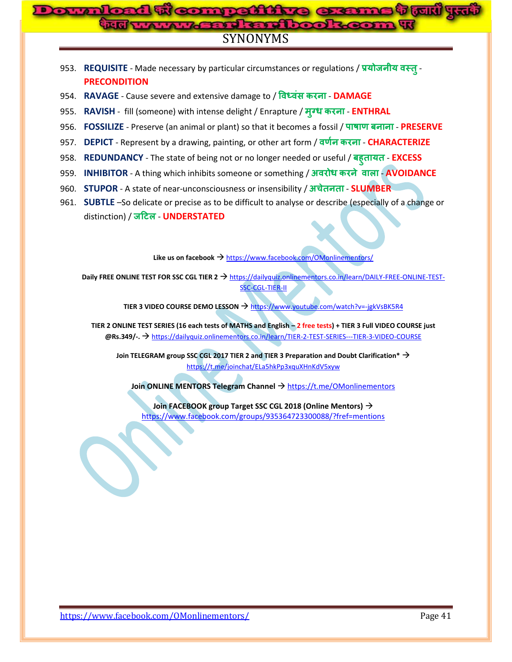# **Compattitue G:** <u>तजारो पस्त्व</u> SYNONYMS

- 953. REQUISITE Made necessary by particular circumstances or regulations / प्रयोजनीय वस्तू -**PRECONDITION**
- 954. **RAVAGE** Cause severe and extensive damage to / विध्वंस करना DAMAGE
- 955. RAVISH fill (someone) with intense delight / Enrapture / मुग्ध करना ENTHRAL
- 956. **FOSSILIZE** Preserve (an animal or plant) so that it becomes a fossil / पाषाण बनाना PRESERVE
- 957. **DEPICT** Represent by a drawing, painting, or other art form / वर्णन करना CHARACTERIZE
- 958. **REDUNDANCY** The state of being not or no longer needed or useful / **ह EXCESS**
- 959. **INHIBITOR** A thing which inhibits someone or something / अवरोध करने वाला AVOIDANCE
- 960. **STUPOR** A state of near-unconsciousness or insensibility / **च SLUMBER**
- 961. **SUBTLE** –So delicate or precise as to be difficult to analyse or describe (especially of a change or distinction) / जटिल - **UNDERSTATED**

Like us on facebook → <https://www.facebook.com/OMonlinementors/>

**Daily FREE ONLINE TEST FOR SSC CGL TIER 2 → [https://dailyquiz.onlinementors.co.in/learn/DAILY-FREE-ONLINE-TEST-](https://dailyquiz.onlinementors.co.in/learn/DAILY-FREE-ONLINE-TEST-SSC-CGL-TIER-II)**[SSC-CGL-TIER-II](https://dailyquiz.onlinementors.co.in/learn/DAILY-FREE-ONLINE-TEST-SSC-CGL-TIER-II)

**TIER 3 VIDEO COURSE DEMO LESSON → <https://www.youtube.com/watch?v=-jgkVsBK5R4>** 

**TIER 2 ONLINE TEST SERIES (16 each tests of MATHS and English – 2 free tests) + TIER 3 Full VIDEO COURSE just @Rs.349/-.** <https://dailyquiz.onlinementors.co.in/learn/TIER-2-TEST-SERIES---TIER-3-VIDEO-COURSE>

**Join TELEGRAM group SSC CGL 2017 TIER 2 and TIER 3 Preparation and Doubt Clarification\*** <https://t.me/joinchat/ELa5hkPp3xquXHnKdV5xyw>

**Join ONLINE MENTORS Telegram Channel**  $\rightarrow$  <https://t.me/OMonlinementors>

**Join FACEBOOK group Target SSC CGL 2018 (Online Mentors)** <https://www.facebook.com/groups/935364723300088/?fref=mentions>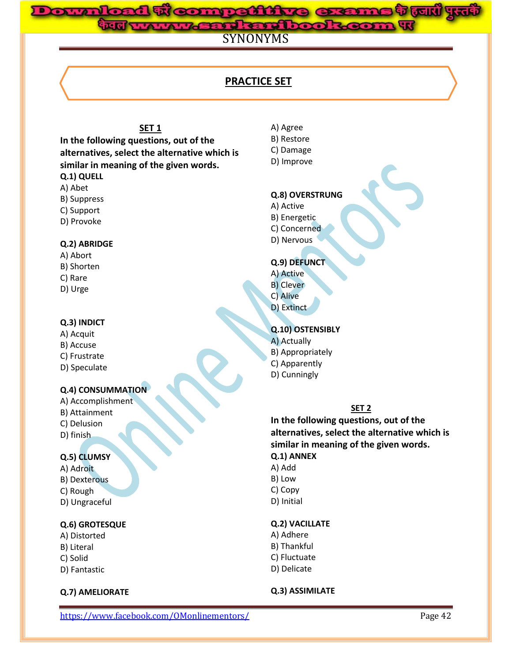#### **d genti Area Downloaded From: www.gossc.in**a langu

SYNONYMS

# **PRACTICE SET**

# **SET 1**

**In the following questions, out of the alternatives, select the alternative which is similar in meaning of the given words. Q.1) QUELL**

- A) Abet
- B) Suppress
- C) Support
- D) Provoke

#### **Q.2) ABRIDGE**

- A) Abort B) Shorten C) Rare
- D) Urge

#### **Q.3) INDICT**

# A) Acquit

- B) Accuse
- C) Frustrate
- D) Speculate

#### **Q.4) CONSUMMATION**

A) Accomplishment B) Attainment C) Delusion D) finish

### **Q.5) CLUMSY**

A) Adroit B) Dexterous C) Rough D) Ungraceful

#### **Q.6) GROTESQUE**

- A) Distorted B) Literal C) Solid
- D) Fantastic

#### **Q.7) AMELIORATE**

- A) Agree
- B) Restore
- C) Damage
- D) Improve

## **Q.8) OVERSTRUNG**

- A) Active
- B) Energetic
- C) Concerned
- D) Nervous

# **Q.9) DEFUNCT**

- A) Active
- B) Clever
- C) Alive
- D) Extinct
- **Q.10) OSTENSIBLY**
- A) Actually
- B) Appropriately
- C) Apparently
- D) Cunningly

#### **SET 2**

**In the following questions, out of the alternatives, select the alternative which is similar in meaning of the given words. Q.1) ANNEX**

- A) Add
- B) Low
- C) Copy
- D) Initial

#### **Q.2) VACILLATE**

- A) Adhere
- B) Thankful
- C) Fluctuate
- D) Delicate

#### **Q.3) ASSIMILATE**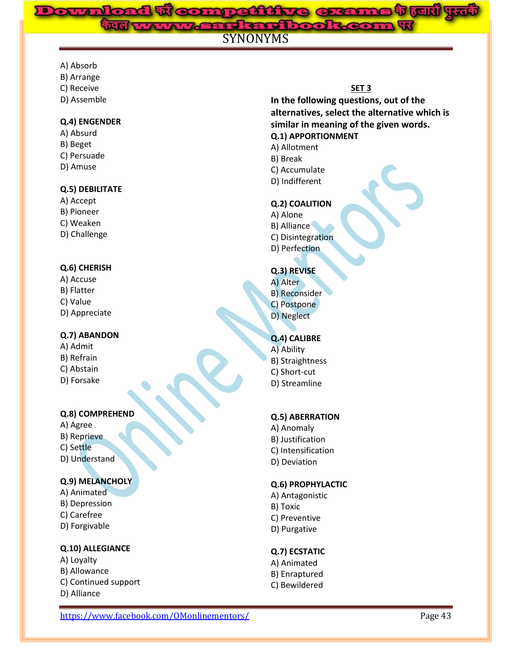## **के ल्यारी पुरद्ध Downloaded From: www.gossc.in**rd en dir

# SYNONYMS

- A) Absorb
- B) Arrange
- C) Receive
- D) Assemble

#### **Q.4) ENGENDER**

A) Absurd B) Beget C) Persuade D) Amuse

## **Q.5) DEBILITATE**

- A) Accept B) Pioneer C) Weaken
- D) Challenge

# **Q.6) CHERISH**

A) Accuse B) Flatter C) Value D) Appreciate

# **Q.7) ABANDON**

A) Admit B) Refrain C) Abstain D) Forsake

### **Q.8) COMPREHEND**

A) Agree B) Reprieve C) Settle D) Understand

# **Q.9) MELANCHOLY**

- A) Animated B) Depression
- C) Carefree
- D) Forgivable

# **Q.10) ALLEGIANCE**

- A) Loyalty B) Allowance C) Continued support
- D) Alliance

# **SET 3**

**In the following questions, out of the alternatives, select the alternative which is similar in meaning of the given words. Q.1) APPORTIONMENT**

- A) Allotment
- B) Break
- C) Accumulate
- D) Indifferent

#### **Q.2) COALITION**

A) Alone B) Alliance C) Disintegration D) Perfection

## **Q.3) REVISE**

A) Alter B) Reconsider C) Postpone D) Neglect

# **Q.4) CALIBRE**

- A) Ability B) Straightness C) Short-cut
- D) Streamline

# **Q.5) ABERRATION**

A) Anomaly B) Justification C) Intensification D) Deviation

# **Q.6) PROPHYLACTIC**

- A) Antagonistic B) Toxic C) Preventive
- D) Purgative

# **Q.7) ECSTATIC**

A) Animated B) Enraptured C) Bewildered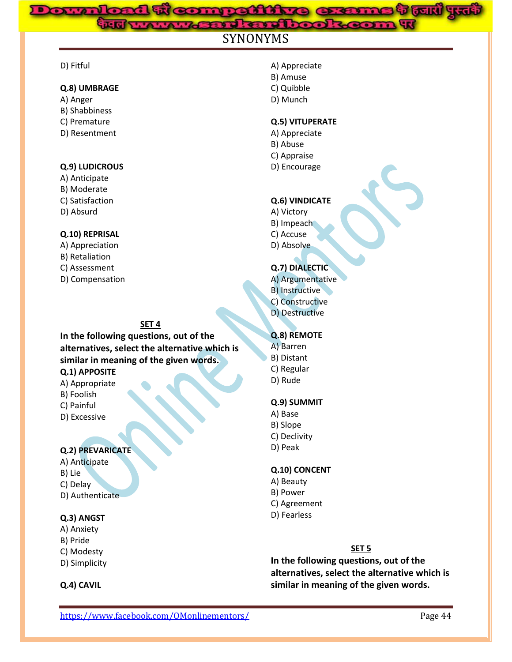# **Weampattine exams trull yut**<br>www.gard.com www.gosse.com

# **SYNONYMS**

#### D) Fitful

#### **Q.8) UMBRAGE**

- A) Anger
- B) Shabbiness
- C) Premature
- D) Resentment

#### **Q.9) LUDICROUS**

- A) Anticipate
- B) Moderate
- C) Satisfaction
- D) Absurd

#### **Q.10) REPRISAL**

- A) Appreciation
- B) Retaliation
- C) Assessment
- D) Compensation

#### **SET 4**

**In the following questions, out of the alternatives, select the alternative which is similar in meaning of the given words. Q.1) APPOSITE**

# A) Appropriate

- B) Foolish
- C) Painful
- D) Excessive

#### **Q.2) PREVARICATE**

A) Anticipate B) Lie C) Delay D) Authenticate

#### **Q.3) ANGST**

- A) Anxiety B) Pride C) Modesty
- D) Simplicity

#### **Q.4) CAVIL**

- A) Appreciate
- B) Amuse
- C) Quibble
- D) Munch

## **Q.5) VITUPERATE**

- A) Appreciate
- B) Abuse
- C) Appraise
- D) Encourage

#### **Q.6) VINDICATE**

- A) Victory B) Impeach
- C) Accuse
- D) Absolve

## **Q.7) DIALECTIC**

- A) Argumentative
- B) Instructive
- C) Constructive
- D) Destructive

### **Q.8) REMOTE**

- A) Barren
- B) Distant
- C) Regular
- D) Rude

# **Q.9) SUMMIT**

- A) Base
- B) Slope
- C) Declivity
- D) Peak

#### **Q.10) CONCENT**

- A) Beauty
- B) Power
- C) Agreement
- D) Fearless

#### **SET 5**

**In the following questions, out of the alternatives, select the alternative which is similar in meaning of the given words.**